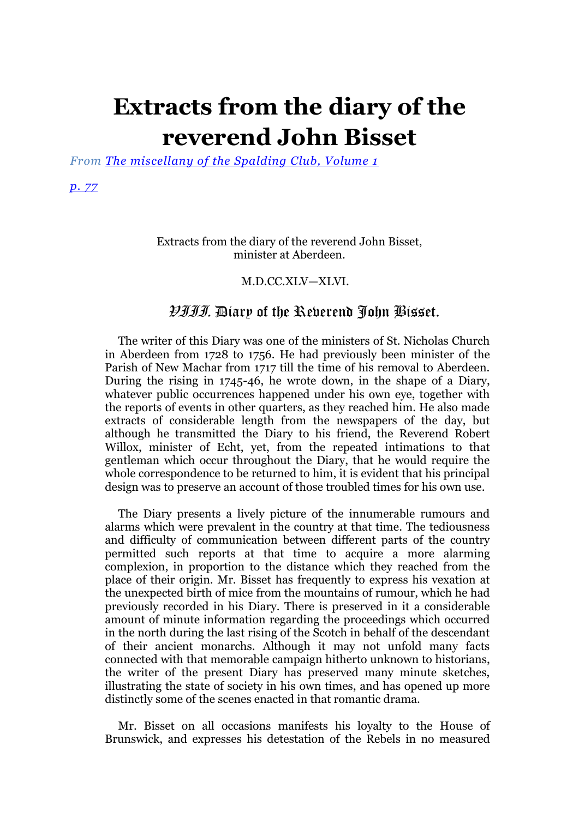# **Extracts from the diary of the reverend John Bisset**

*From [The miscellany of the Spalding Club, Volume 1](http://books.google.com/books?pg=PA402&id=QVoJAAAAIAAJ)*

#### *[p. 77](http://books.google.com/books?id=QVoJAAAAIAAJ&pg=PA77#v=onepage&q&f=false)*

# Extracts from the diary of the reverend John Bisset, minister at Aberdeen.

# M.D.CC.XLV—XLVI.

# VIII. Diary of the Reverend John Bisset.

The writer of this Diary was one of the ministers of St. Nicholas Church in Aberdeen from 1728 to 1756. He had previously been minister of the Parish of New Machar from 1717 till the time of his removal to Aberdeen. During the rising in 1745-46, he wrote down, in the shape of a Diary, whatever public occurrences happened under his own eye, together with the reports of events in other quarters, as they reached him. He also made extracts of considerable length from the newspapers of the day, but although he transmitted the Diary to his friend, the Reverend Robert Willox, minister of Echt, yet, from the repeated intimations to that gentleman which occur throughout the Diary, that he would require the whole correspondence to be returned to him, it is evident that his principal design was to preserve an account of those troubled times for his own use.

The Diary presents a lively picture of the innumerable rumours and alarms which were prevalent in the country at that time. The tediousness and difficulty of communication between different parts of the country permitted such reports at that time to acquire a more alarming complexion, in proportion to the distance which they reached from the place of their origin. Mr. Bisset has frequently to express his vexation at the unexpected birth of mice from the mountains of rumour, which he had previously recorded in his Diary. There is preserved in it a considerable amount of minute information regarding the proceedings which occurred in the north during the last rising of the Scotch in behalf of the descendant of their ancient monarchs. Although it may not unfold many facts connected with that memorable campaign hitherto unknown to historians, the writer of the present Diary has preserved many minute sketches, illustrating the state of society in his own times, and has opened up more distinctly some of the scenes enacted in that romantic drama.

Mr. Bisset on all occasions manifests his loyalty to the House of Brunswick, and expresses his detestation of the Rebels in no measured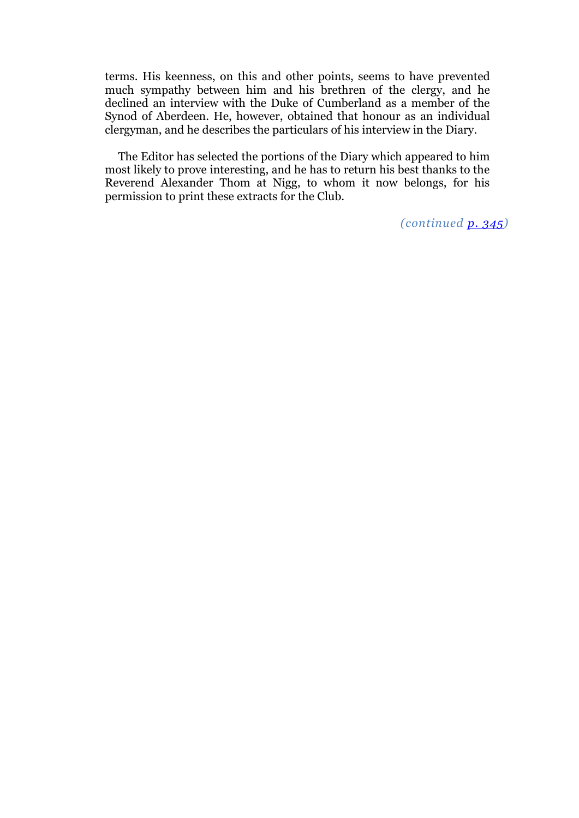terms. His keenness, on this and other points, seems to have prevented much sympathy between him and his brethren of the clergy, and he declined an interview with the Duke of Cumberland as a member of the Synod of Aberdeen. He, however, obtained that honour as an individual clergyman, and he describes the particulars of his interview in the Diary.

The Editor has selected the portions of the Diary which appeared to him most likely to prove interesting, and he has to return his best thanks to the Reverend Alexander Thom at Nigg, to whom it now belongs, for his permission to print these extracts for the Club.

*(continued [p. 345\)](http://books.google.com/books?id=QVoJAAAAIAAJ&pg=PA345#v=onepage&q&f=false)*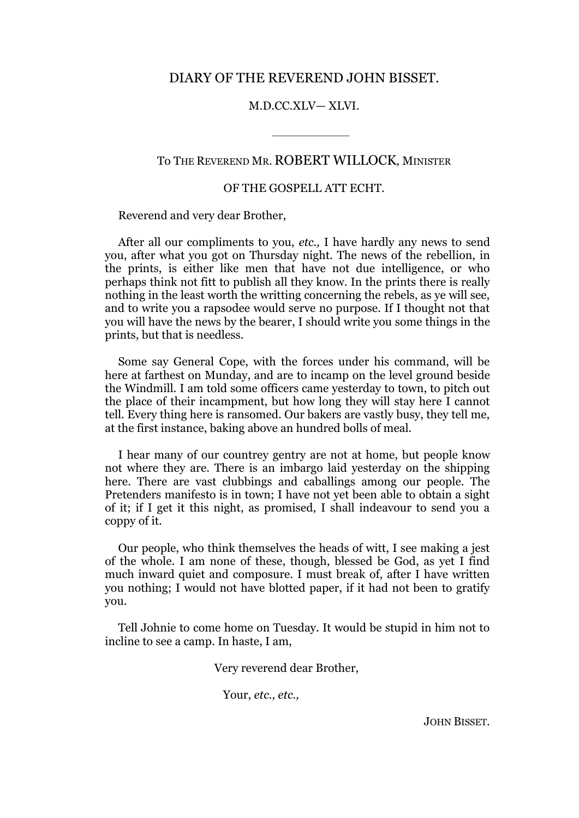# DIARY OF THE REVEREND JOHN BISSET.

#### M.D.CC.XLV— XLVI.

# To THE REVEREND MR. ROBERT WILLOCK, MINISTER

# OF THE GOSPELL ATT ECHT.

Reverend and very dear Brother,

After all our compliments to you, *etc.,* I have hardly any news to send you, after what you got on Thursday night. The news of the rebellion, in the prints, is either like men that have not due intelligence, or who perhaps think not fitt to publish all they know. In the prints there is really nothing in the least worth the writting concerning the rebels, as ye will see, and to write you a rapsodee would serve no purpose. If I thought not that you will have the news by the bearer, I should write you some things in the prints, but that is needless.

Some say General Cope, with the forces under his command, will be here at farthest on Munday, and are to incamp on the level ground beside the Windmill. I am told some officers came yesterday to town, to pitch out the place of their incampment, but how long they will stay here I cannot tell. Every thing here is ransomed. Our bakers are vastly busy, they tell me, at the first instance, baking above an hundred bolls of meal.

I hear many of our countrey gentry are not at home, but people know not where they are. There is an imbargo laid yesterday on the shipping here. There are vast clubbings and caballings among our people. The Pretenders manifesto is in town; I have not yet been able to obtain a sight of it; if I get it this night, as promised, I shall indeavour to send you a coppy of it.

Our people, who think themselves the heads of witt, I see making a jest of the whole. I am none of these, though, blessed be God, as yet I find much inward quiet and composure. I must break of, after I have written you nothing; I would not have blotted paper, if it had not been to gratify you.

Tell Johnie to come home on Tuesday. It would be stupid in him not to incline to see a camp. In haste, I am,

Very reverend dear Brother,

Your, *etc., etc.,*

JOHN BISSET.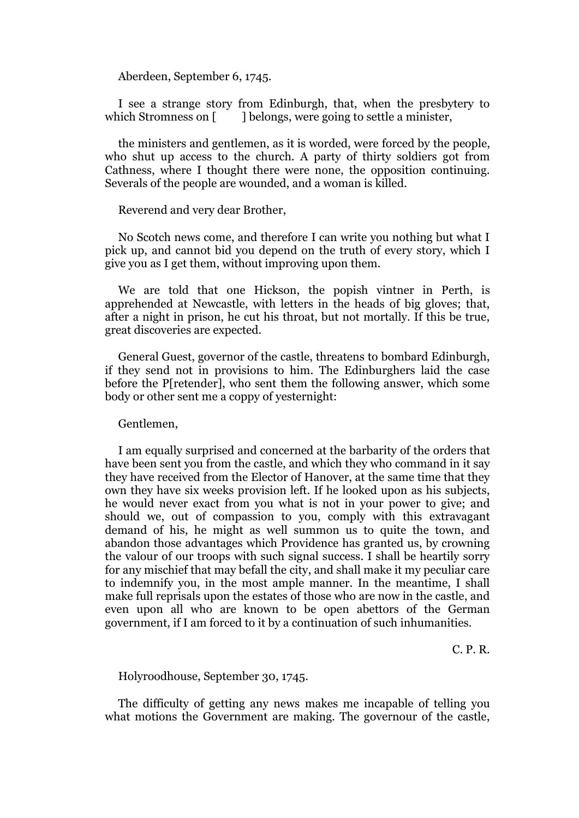Aberdeen, September 6, 1745.

I see a strange story from Edinburgh, that, when the presbytery to which Stromness on [ ] belongs, were going to settle a minister,

the ministers and gentlemen, as it is worded, were forced by the people, who shut up access to the church. A party of thirty soldiers got from Cathness, where I thought there were none, the opposition continuing. Severals of the people are wounded, and a woman is killed.

Reverend and very dear Brother,

No Scotch news come, and therefore I can write you nothing but what I pick up, and cannot bid you depend on the truth of every story, which I give you as I get them, without improving upon them.

We are told that one Hickson, the popish vintner in Perth, is apprehended at Newcastle, with letters in the heads of big gloves; that, after a night in prison, he cut his throat, but not mortally. If this be true, great discoveries are expected.

General Guest, governor of the castle, threatens to bombard Edinburgh, if they send not in provisions to him. The Edinburghers laid the case before the P[retender], who sent them the following answer, which some body or other sent me a coppy of yesternight:

#### Gentlemen,

I am equally surprised and concerned at the barbarity of the orders that have been sent you from the castle, and which they who command in it say they have received from the Elector of Hanover, at the same time that they own they have six weeks provision left. If he looked upon as his subjects, he would never exact from you what is not in your power to give; and should we, out of compassion to you, comply with this extravagant demand of his, he might as well summon us to quite the town, and abandon those advantages which Providence has granted us, by crowning the valour of our troops with such signal success. I shall be heartily sorry for any mischief that may befall the city, and shall make it my peculiar care to indemnify you, in the most ample manner. In the meantime, I shall make full reprisals upon the estates of those who are now in the castle, and even upon all who are known to be open abettors of the German government, if I am forced to it by a continuation of such inhumanities.

C. P. R.

Holyroodhouse, September 30, 1745.

The difficulty of getting any news makes me incapable of telling you what motions the Government are making. The governour of the castle,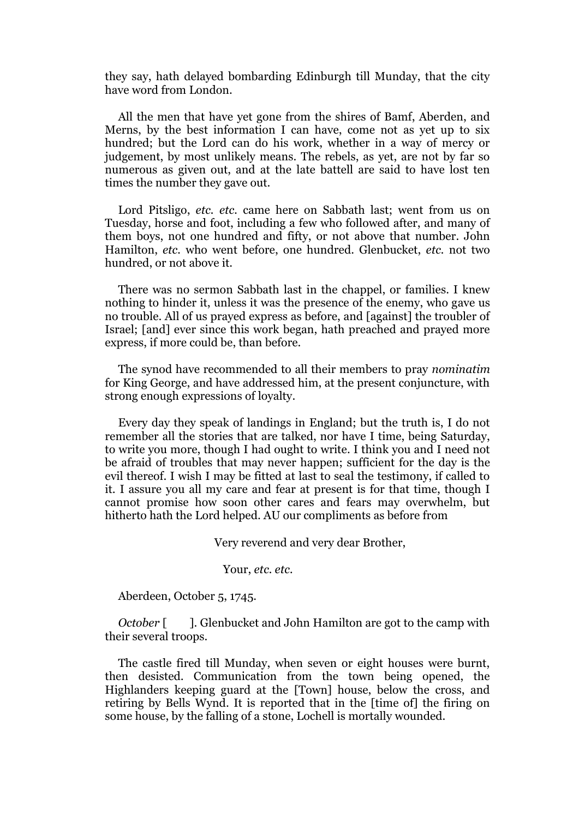they say, hath delayed bombarding Edinburgh till Munday, that the city have word from London.

All the men that have yet gone from the shires of Bamf, Aberden, and Merns, by the best information I can have, come not as yet up to six hundred; but the Lord can do his work, whether in a way of mercy or judgement, by most unlikely means. The rebels, as yet, are not by far so numerous as given out, and at the late battell are said to have lost ten times the number they gave out.

Lord Pitsligo, *etc. etc.* came here on Sabbath last; went from us on Tuesday, horse and foot, including a few who followed after, and many of them boys, not one hundred and fifty, or not above that number. John Hamilton, *etc.* who went before, one hundred. Glenbucket, *etc.* not two hundred, or not above it.

There was no sermon Sabbath last in the chappel, or families. I knew nothing to hinder it, unless it was the presence of the enemy, who gave us no trouble. All of us prayed express as before, and [against] the troubler of Israel; [and] ever since this work began, hath preached and prayed more express, if more could be, than before.

The synod have recommended to all their members to pray *nominatim*  for King George, and have addressed him, at the present conjuncture, with strong enough expressions of loyalty.

Every day they speak of landings in England; but the truth is, I do not remember all the stories that are talked, nor have I time, being Saturday, to write you more, though I had ought to write. I think you and I need not be afraid of troubles that may never happen; sufficient for the day is the evil thereof. I wish I may be fitted at last to seal the testimony, if called to it. I assure you all my care and fear at present is for that time, though I cannot promise how soon other cares and fears may overwhelm, but hitherto hath the Lord helped. AU our compliments as before from

Very reverend and very dear Brother,

Your, *etc. etc.*

Aberdeen, October 5, 1745.

*October* [ ]. Glenbucket and John Hamilton are got to the camp with their several troops.

The castle fired till Munday, when seven or eight houses were burnt, then desisted. Communication from the town being opened, the Highlanders keeping guard at the [Town] house, below the cross, and retiring by Bells Wynd. It is reported that in the [time of] the firing on some house, by the falling of a stone, Lochell is mortally wounded.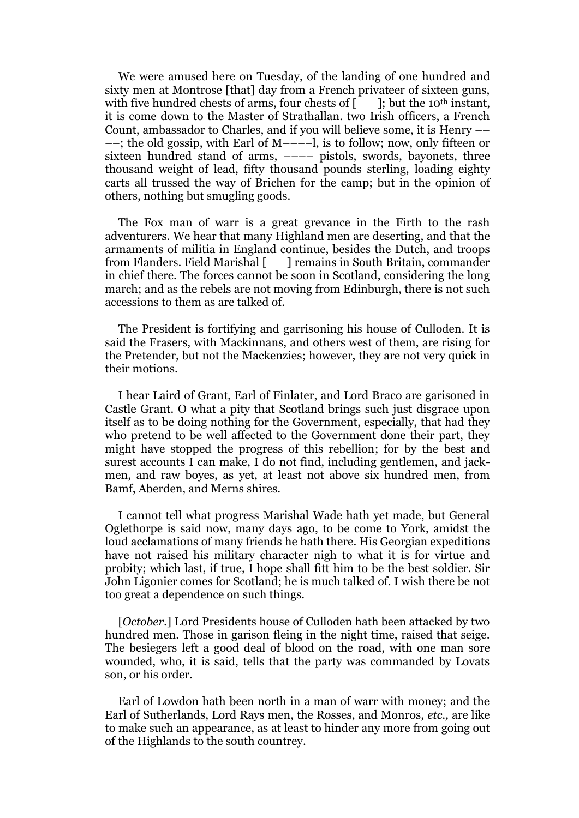We were amused here on Tuesday, of the landing of one hundred and sixty men at Montrose [that] day from a French privateer of sixteen guns, with five hundred chests of arms, four chests of  $\begin{bmatrix} \cdot & \cdot \\ \cdot & \cdot \end{bmatrix}$ ; but the 10<sup>th</sup> instant, it is come down to the Master of Strathallan. two Irish officers, a French Count, ambassador to Charles, and if you will believe some, it is Henry –– ––; the old gossip, with Earl of M––––l, is to follow; now, only fifteen or sixteen hundred stand of arms, ---- pistols, swords, bayonets, three thousand weight of lead, fifty thousand pounds sterling, loading eighty carts all trussed the way of Brichen for the camp; but in the opinion of others, nothing but smugling goods.

The Fox man of warr is a great grevance in the Firth to the rash adventurers. We hear that many Highland men are deserting, and that the armaments of militia in England continue, besides the Dutch, and troops from Flanders. Field Marishal [ ] remains in South Britain, commander in chief there. The forces cannot be soon in Scotland, considering the long march; and as the rebels are not moving from Edinburgh, there is not such accessions to them as are talked of.

The President is fortifying and garrisoning his house of Culloden. It is said the Frasers, with Mackinnans, and others west of them, are rising for the Pretender, but not the Mackenzies; however, they are not very quick in their motions.

I hear Laird of Grant, Earl of Finlater, and Lord Braco are garisoned in Castle Grant. O what a pity that Scotland brings such just disgrace upon itself as to be doing nothing for the Government, especially, that had they who pretend to be well affected to the Government done their part, they might have stopped the progress of this rebellion; for by the best and surest accounts I can make, I do not find, including gentlemen, and jackmen, and raw boyes, as yet, at least not above six hundred men, from Bamf, Aberden, and Merns shires.

I cannot tell what progress Marishal Wade hath yet made, but General Oglethorpe is said now, many days ago, to be come to York, amidst the loud acclamations of many friends he hath there. His Georgian expeditions have not raised his military character nigh to what it is for virtue and probity; which last, if true, I hope shall fitt him to be the best soldier. Sir John Ligonier comes for Scotland; he is much talked of. I wish there be not too great a dependence on such things.

[*October.*] Lord Presidents house of Culloden hath been attacked by two hundred men. Those in garison fleing in the night time, raised that seige. The besiegers left a good deal of blood on the road, with one man sore wounded, who, it is said, tells that the party was commanded by Lovats son, or his order.

Earl of Lowdon hath been north in a man of warr with money; and the Earl of Sutherlands, Lord Rays men, the Rosses, and Monros, *etc.,* are like to make such an appearance, as at least to hinder any more from going out of the Highlands to the south countrey.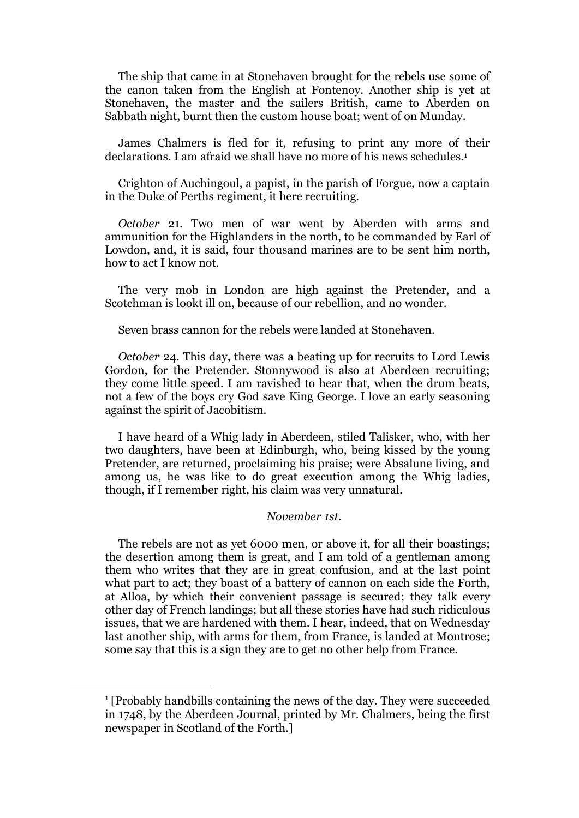The ship that came in at Stonehaven brought for the rebels use some of the canon taken from the English at Fontenoy. Another ship is yet at Stonehaven, the master and the sailers British, came to Aberden on Sabbath night, burnt then the custom house boat; went of on Munday.

James Chalmers is fled for it, refusing to print any more of their declarations. I am afraid we shall have no more of his news schedules.<sup>1</sup>

Crighton of Auchingoul, a papist, in the parish of Forgue, now a captain in the Duke of Perths regiment, it here recruiting.

*October* 21. Two men of war went by Aberden with arms and ammunition for the Highlanders in the north, to be commanded by Earl of Lowdon, and, it is said, four thousand marines are to be sent him north, how to act I know not.

The vегу mob in London are high against the Pretender, and a Scotchman is lookt ill on, because of our rebellion, and no wonder.

Seven brass cannon for the rebels were landed at Stonehaven.

*October* 24. This day, there was a beating up for recruits to Lord Lewis Gordon, for the Pretender. Stonnywood is also at Aberdeen recruiting; they come little speed. I am ravished to hear that, when the drum beats, not a few of the boys cry God save King George. I love an early seasoning against the spirit of Jacobitism.

I have heard of a Whig lady in Aberdeen, stiled Talisker, who, with her two daughters, have been at Edinburgh, who, being kissed by the young Pretender, are returned, proclaiming his praise; were Absalune living, and among us, he was like to do great execution among the Whig ladies, though, if I remember right, his claim was very unnatural.

# *November 1st.*

The rebels are not as yet 6000 men, or above it, for all their boastings; the desertion among them is great, and I am told of a gentleman among them who writes that they are in great confusion, and at the last point what part to act; they boast of a battery of cannon on each side the Forth, at Alloa, by which their convenient passage is secured; they talk every other day of French landings; but all these stories have had such ridiculous issues, that we are hardened with them. I hear, indeed, that on Wednesday last another ship, with arms for them, from France, is landed at Montrose; some say that this is a sign they are to get no other help from France.

**.** 

<sup>&</sup>lt;sup>1</sup> [Probably handbills containing the news of the day. They were succeeded in 1748, by the Aberdeen Journal, printed by Mr. Chalmers, being the first newspaper in Scotland of the Forth.]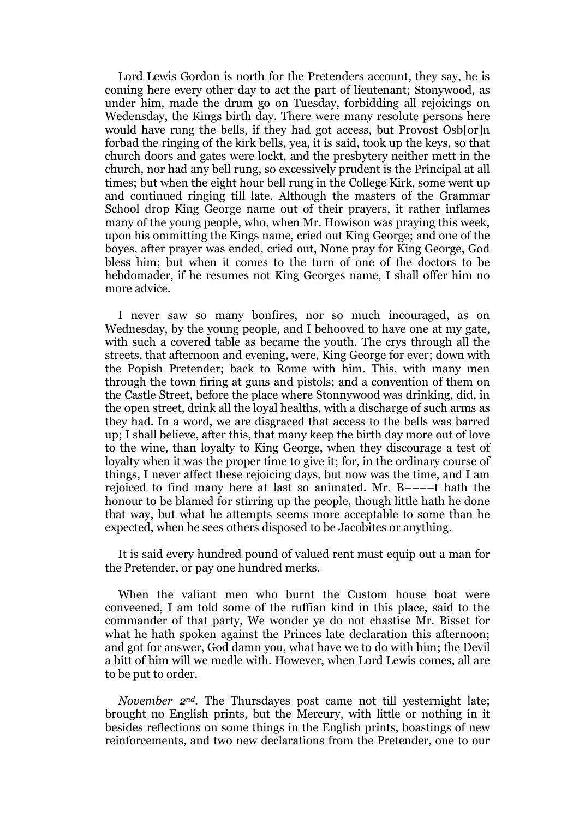Lord Lewis Gordon is north for the Pretenders account, they say, he is coming here every other day to act the part of lieutenant; Stonywood, as under him, made the drum go on Tuesday, forbidding all rejoicings on Wedensday, the Kings birth day. There were many resolute persons here would have rung the bells, if they had got access, but Provost Osb[or]n forbad the ringing of the kirk bells, yea, it is said, took up the keys, so that church doors and gates were lockt, and the presbytery neither mett in the church, nor had any bell rung, so excessively prudent is the Principal at all times; but when the eight hour bell rung in the College Kirk, some went up and continued ringing till late. Although the masters of the Grammar School drop King George name out of their prayers, it rather inflames many of the young people, who, when Mr. Howison was praying this week, upon his ommitting the Kings name, cried out King George; and one of the boyes, after prayer was ended, cried out, None pray for King George, God bless him; but when it comes to the turn of one of the doctors to be hebdomader, if he resumes not King Georges name, I shall offer him no more advice.

I never saw so many bonfires, nor so much incouraged, as on Wednesday, by the young people, and I behooved to have one at my gate, with such a covered table as became the youth. The crys through all the streets, that afternoon and evening, were, King George for ever; down with the Popish Pretender; back to Rome with him. This, with many men through the town firing at guns and pistols; and a convention of them on the Castle Street, before the place where Stonnywood was drinking, did, in the open street, drink all the loyal healths, with a discharge of such arms as they had. In a word, we are disgraced that access to the bells was barred up; I shall believe, after this, that many keep the birth day more out of love to the wine, than loyalty to King George, when they discourage a test of loyalty when it was the proper time to give it; for, in the ordinary course of things, I never affect these rejoicing days, but now was the time, and I am rejoiced to find many here at last so animated. Mr. В––––t hath the honour to be blamed for stirring up the people, though little hath he done that way, but what he attempts seems more acceptable to some than he expected, when he sees others disposed to be Jacobites or anything.

It is said every hundred pound of valued rent must equip out a man for the Pretender, or pay one hundred merks.

When the valiant men who burnt the Custom house boat were conveened, I am told some of the ruffian kind in this place, said to the commander of that party, We wonder ye do not chastise Mr. Bisset for what he hath spoken against the Princes late declaration this afternoon; and got for answer, God damn you, what have we to do with him; the Devil a bitt of him will we medle with. However, when Lord Lewis comes, all are to be put to order.

*November 2nd.* The Thursdayes post came not till yesternight late; brought no English prints, but the Mercury, with little or nothing in it besides reflections on some things in the English prints, boastings of new reinforcements, and two new declarations from the Pretender, one to our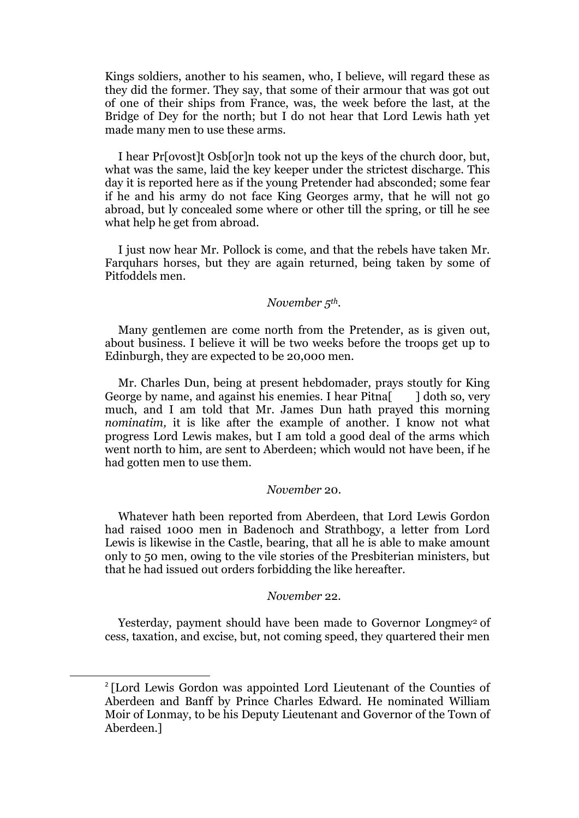Kings soldiers, another to his seamen, who, I believe, will regard these as they did the former. They say, that some of their armour that was got out of one of their ships from France, was, the week before the last, at the Bridge of Dey for the north; but I do not hear that Lord Lewis hath yet made many men to use these arms.

I hear Pr[ovost]t Osb[or]n took not up the keys of the church door, but, what was the same, laid the key keeper under the strictest discharge. This day it is reported here as if the young Pretender had absconded; some fear if he and his army do not face King Georges army, that he will not go abroad, but ly concealed some where or other till the spring, or till he see what help he get from abroad.

I just now hear Mr. Pollock is come, and that the rebels have taken Mr. Farquhars horses, but they are again returned, being taken by some of Pitfoddels men.

# *November 5th.*

Many gentlemen are come north from the Pretender, as is given out, about business. I believe it will be two weeks before the troops get up to Edinburgh, they are expected to be 20,000 men.

Mr. Charles Dun, being at present hebdomader, prays stoutly for King George by name, and against his enemies. I hear Pitna [I doth so, very much, and I am told that Mr. James Dun hath prayed this morning *nominatim*, it is like after the example of another. I know not what progress Lord Lewis makes, but I am told a good deal of the arms which went north to him, are sent to Aberdeen; which would not have been, if he had gotten men to use them.

#### *November* 20.

Whatever hath been reported from Aberdeen, that Lord Lewis Gordon had raised 1000 men in Badenoch and Strathbogy, a letter from Lord Lewis is likewise in the Castle, bearing, that all he is able to make amount only to 50 men, owing to the vile stories of the Presbiterian ministers, but that he had issued out orders forbidding the like hereafter.

# *November* 22.

Yesterday, payment should have been made to Governor Longmey<sup>2</sup> of cess, taxation, and excise, but, not coming speed, they quartered their men

**.** 

<sup>&</sup>lt;sup>2</sup> [Lord Lewis Gordon was appointed Lord Lieutenant of the Counties of Aberdeen and Banff by Prince Charles Edward. He nominated William Moir of Lonmay, to be his Deputy Lieutenant and Governor of the Town of Aberdeen.]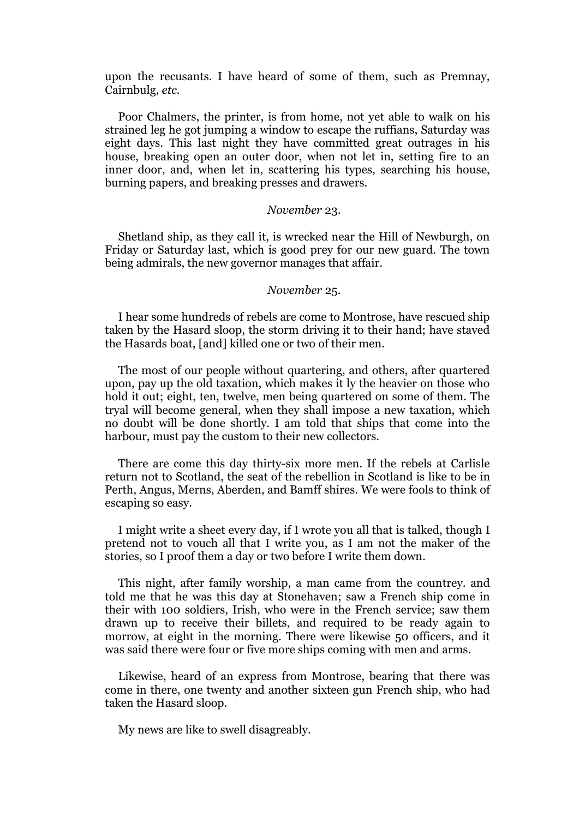upon the recusants. I have heard of some of them, such as Premnay, Cairnbulg, *etc.* 

Poor Chalmers, the printer, is from home, not yet able to walk on his strained leg he got jumping a window to escape the ruffians, Saturday was eight days. This last night they have committed great outrages in his house, breaking open an outer door, when not let in, setting fire to an inner door, and, when let in, scattering his types, searching his house, burning papers, and breaking presses and drawers.

#### *November* 23.

Shetland ship, as they call it, is wrecked near the Hill of Newburgh, on Friday or Saturday last, which is good prey for our new guard. The town being admirals, the new governor manages that affair.

#### *November* 25.

I hear some hundreds of rebels are come to Montrose, have rescued ship taken by the Hasard sloop, the storm driving it to their hand; have staved the Hasards boat, [and] killed one or two of their men.

The most of our people without quartering, and others, after quartered upon, pay up the old taxation, which makes it ly the heavier on those who hold it out; eight, ten, twelve, men being quartered on some of them. The tryal will become general, when they shall impose a new taxation, which no doubt will be done shortly. I am told that ships that come into the harbour, must pay the custom to their new collectors.

There are come this day thirty-six more men. If the rebels at Carlisle return not to Scotland, the seat of the rebellion in Scotland is like to be in Perth, Angus, Merns, Aberden, and Bamff shires. We were fools to think of escaping so easy.

I might write a sheet every day, if I wrote you all that is talked, though I pretend not to vouch all that I write you, as I am not the maker of the stories, so I proof them a day or two before I write them down.

This night, after family worship, a man came from the countrey. and told me that he was this day at Stonehaven; saw a French ship come in their with 100 soldiers, Irish, who were in the French service; saw them drawn up to receive their billets, and required to be ready again to morrow, at eight in the morning. There were likewise 50 officers, and it was said there were four or five more ships coming with men and arms.

Likewise, heard of an express from Montrose, bearing that there was come in there, one twenty and another sixteen gun French ship, who had taken the Hasard sloop.

My news are like to swell disagreably.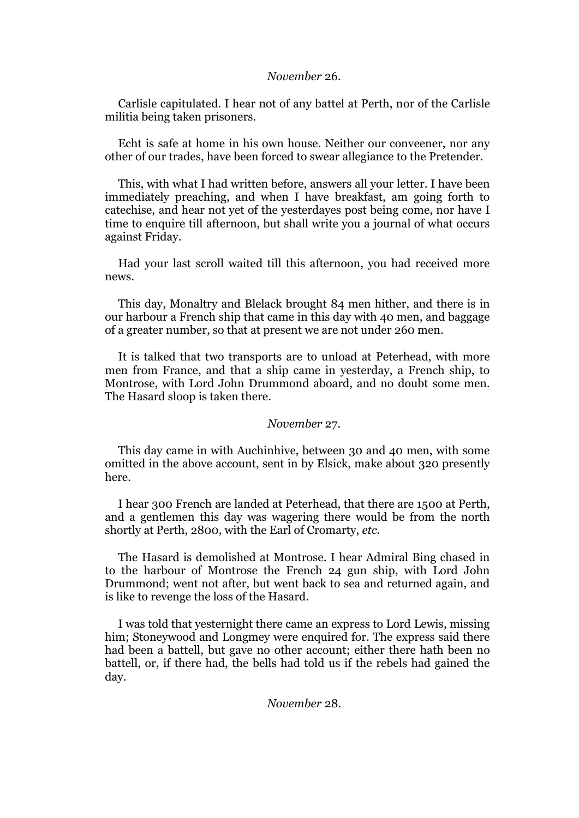#### *November* 26.

Carlisle capitulated. I hear not of any battel at Perth, nor of the Carlisle militia being taken prisoners.

Echt is safe at home in his own house. Neither our conveener, nor any other of our trades, have been forced to swear allegiance to the Pretender.

This, with what I had written before, answers all your letter. I have been immediately preaching, and when I have breakfast, am going forth to catechise, and hear not yet of the yesterdayes post being come, nor have I time to enquire till afternoon, but shall write you a journal of what occurs against Friday.

Had your last scroll waited till this afternoon, you had received more news.

This day, Monaltry and Blelack brought 84 men hither, and there is in our harbour a French ship that came in this day with 40 men, and baggage of a greater number, so that at present we are not under 260 men.

It is talked that two transports are to unload at Peterhead, with more men from France, and that a ship came in yesterday, a French ship, to Montrose, with Lord John Drummond aboard, and no doubt some men. The Hasard sloop is taken there.

#### *November* 27.

This day came in with Auchinhive, between 30 and 40 men, with some omitted in the above account, sent in by Elsick, make about 320 presently here.

I hear 300 French are landed at Peterhead, that there are 1500 at Perth, and a gentlemen this day was wagering there would be from the north shortly at Perth, 2800, with the Earl of Cromarty, *etc.* 

The Hasard is demolished at Montrose. I hear Admiral Bing chased in to the harbour of Montrose the French 24 gun ship, with Lord John Drummond; went not after, but went back to sea and returned again, and is like to revenge the loss of the Hasard.

I was told that yesternight there came an express to Lord Lewis, missing him; Stoneywood and Longmey were enquired for. The express said there had been a battell, but gave no other account; either there hath been no battell, or, if there had, the bells had told us if the rebels had gained the day.

*November* 28.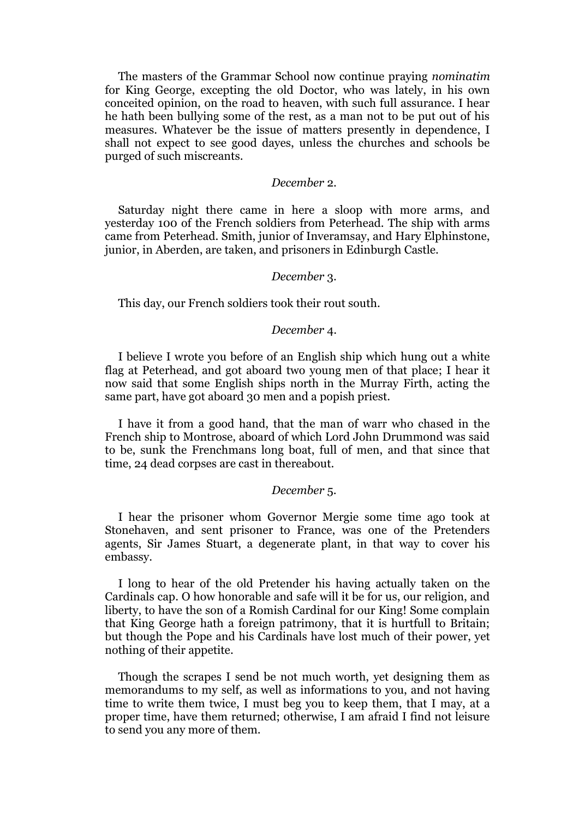The masters of the Grammar School now continue praying *nominatim*  for King George, excepting the old Doctor, who was lately, in his own conceited opinion, on the road to heaven, with such full assurance. I hear he hath been bullying some of the rest, as a man not to be put out of his measures. Whatever be the issue of matters presently in dependence, I shall not expect to see good dayes, unless the churches and schools be purged of such miscreants.

#### *December* 2.

Saturday night there came in here a sloop with more arms, and yesterday 100 of the French soldiers from Peterhead. The ship with arms came from Peterhead. Smith, junior of Inveramsay, and Hary Elphinstone, junior, in Aberden, are taken, and prisoners in Edinburgh Castle.

#### *December* 3.

This day, our French soldiers took their rout south.

#### *December* 4.

I believe I wrote you before of an English ship which hung out a white flag at Peterhead, and got aboard two young men of that place; I hear it now said that some English ships north in the Murray Firth, acting the same part, have got aboard 30 men and a popish priest.

I have it from a good hand, that the man of warr who chased in the French ship to Montrose, aboard of which Lord John Drummond was said to be, sunk the Frenchmans long boat, full of men, and that since that time, 24 dead corpses are cast in thereabout.

#### *December* 5.

I hear the prisoner whom Governor Mergie some time ago took at Stonehaven, and sent prisoner to France, was one of the Pretenders agents, Sir James Stuart, a degenerate plant, in that way to cover his embassy.

I long to hear of the old Pretender his having actually taken on the Cardinals cap. O how honorable and safe will it be for us, our religion, and liberty, to have the son of a Romish Cardinal for our King! Some complain that King George hath a foreign patrimony, that it is hurtfull to Britain; but though the Pope and his Cardinals have lost much of their power, yet nothing of their appetite.

Though the scrapes I send be not much worth, yet designing them as memorandums to my self, as well as informations to you, and not having time to write them twice, I must beg you to keep them, that I may, at a proper time, have them returned; otherwise, I am afraid I find not leisure to send you any more of them.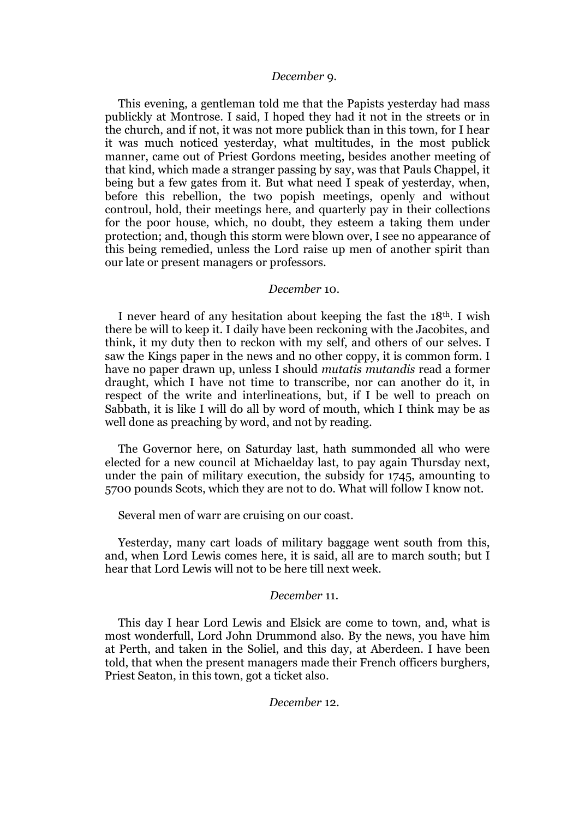#### *December* 9.

This evening, a gentleman told me that the Papists yesterday had mass publickly at Montrose. I said, I hoped they had it not in the streets or in the church, and if not, it was not more publick than in this town, for I hear it was much noticed yesterday, what multitudes, in the most publick manner, came out of Priest Gordons meeting, besides another meeting of that kind, which made a stranger passing by say, was that Pauls Chappel, it being but a few gates from it. But what need I speak of yesterday, when, before this rebellion, the two popish meetings, openly and without controul, hold, their meetings here, and quarterly pay in their collections for the poor house, which, no doubt, they esteem a taking them under protection; and, though this storm were blown over, I see no appearance of this being remedied, unless the Lord raise up men of another spirit than our late or present managers or professors.

#### *December* 10.

I never heard of any hesitation about keeping the fast the 18th. I wish there be will to keep it. I daily have been reckoning with the Jacobites, and think, it my duty then to reckon with my self, and others of our selves. I saw the Kings paper in the news and no other coppy, it is common form. I have no paper drawn up, unless I should *mutatis mutandis* read a former draught, which I have not time to transcribe, nor can another do it, in respect of the write and interlineations, but, if I be well to preach on Sabbath, it is like I will do all by word of mouth, which I think may be as well done as preaching by word, and not by reading.

The Governor here, on Saturday last, hath summonded all who were elected for a new council at Michaelday last, to pay again Thursday next, under the pain of military execution, the subsidy for 1745, amounting to 5700 pounds Scots, which they are not to do. What will follow I know not.

Several men of warr are cruising on our coast.

Yesterday, many cart loads of military baggage went south from this, and, when Lord Lewis comes here, it is said, all are to march south; but I hear that Lord Lewis will not to be here till next week.

# *December* 11.

This day I hear Lord Lewis and Elsick are come to town, and, what is most wonderfull, Lord John Drummond also. By the news, you have him at Perth, and taken in the Soliel, and this day, at Aberdeen. I have been told, that when the present managers made their French officers burghers, Priest Seaton, in this town, got a ticket also.

## *December* 12.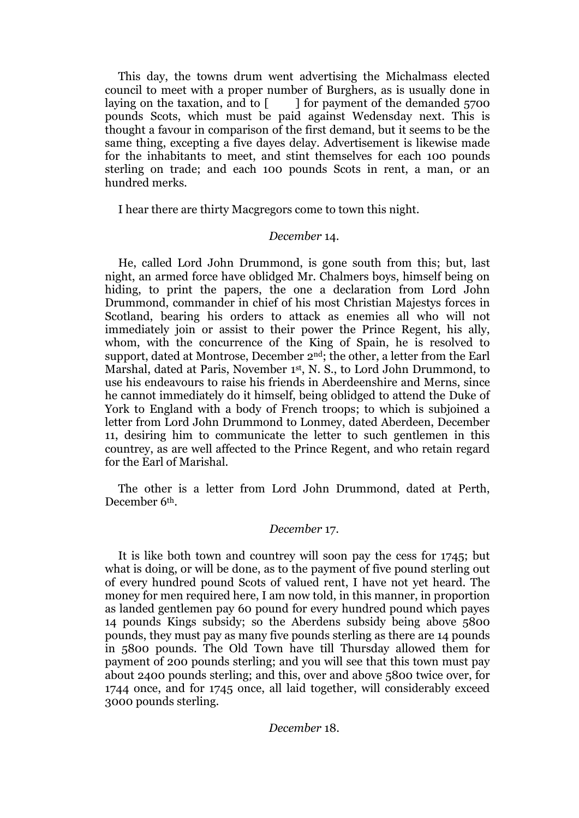This day, the towns drum went advertising the Michalmass elected council to meet with a proper number of Burghers, as is usually done in laying on the taxation, and to  $\lceil \cdot \cdot \cdot \rceil$  for payment of the demanded 5700 pounds Scots, which must be paid against Wedensday next. This is thought a favour in comparison of the first demand, but it seems to be the same thing, excepting a five dayes delay. Advertisement is likewise made for the inhabitants to meet, and stint themselves for each 100 pounds sterling on trade; and each 100 pounds Scots in rent, a man, or an hundred merks.

I hear there are thirty Macgregors come to town this night.

# *December* 14.

He, called Lord John Drummond, is gone south from this; but, last night, an armed force have oblidged Mr. Chalmers boys, himself being on hiding, to print the papers, the one a declaration from Lord John Drummond, commander in chief of his most Christian Majestys forces in Scotland, bearing his orders to attack as enemies all who will not immediately join or assist to their power the Prince Regent, his ally, whom, with the concurrence of the King of Spain, he is resolved to support, dated at Montrose, December 2<sup>nd</sup>; the other, a letter from the Earl Marshal, dated at Paris, November 1st, N. S., to Lord John Drummond, to use his endeavours to raise his friends in Aberdeenshire and Merns, since he cannot immediately do it himself, being oblidged to attend the Duke of York to England with a body of French troops; to which is subjoined a letter from Lord John Drummond to Lonmey, dated Aberdeen, December 11, desiring him to communicate the letter to such gentlemen in this countrey, as are well affected to the Prince Regent, and who retain regard for the Earl of Marishal.

The other is a letter from Lord John Drummond, dated at Perth, December 6th.

#### *December* 17.

It is like both town and countrey will soon pay the cess for 1745; but what is doing, or will be done, as to the payment of five pound sterling out of every hundred pound Scots of valued rent, I have not yet heard. The money for men required here, I am now told, in this manner, in proportion as landed gentlemen pay 60 pound for every hundred pound which payes 14 pounds Kings subsidy; so the Aberdens subsidy being above 5800 pounds, they must pay as many five pounds sterling as there are 14 pounds in 5800 pounds. The Old Town have till Thursday allowed them for payment of 200 pounds sterling; and you will see that this town must pay about 2400 pounds sterling; and this, over and above 5800 twice over, for 1744 once, and for 1745 once, all laid together, will considerably exceed 3000 pounds sterling.

#### *December* 18.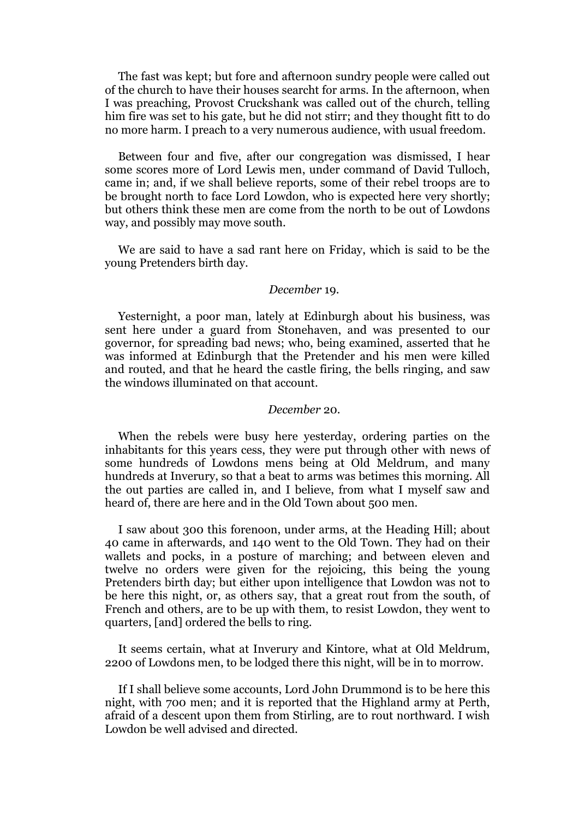The fast was kept; but fore and afternoon sundry people were called out of the church to have their houses searcht for arms. In the afternoon, when I was preaching, Provost Cruckshank was called out of the church, telling him fire was set to his gate, but he did not stirr; and they thought fitt to do no more harm. I preach to a very numerous audience, with usual freedom.

Between four and five, after our congregation was dismissed, I hear some scores more of Lord Lewis men, under command of David Tulloch, came in; and, if we shall believe reports, some of their rebel troops are to be brought north to face Lord Lowdon, who is expected here very shortly; but others think these men are come from the north to be out of Lowdons way, and possibly may move south.

We are said to have a sad rant here on Friday, which is said to be the young Pretenders birth day.

#### *December* 19.

Yesternight, a poor man, lately at Edinburgh about his business, was sent here under a guard from Stonehaven, and was presented to our governor, for spreading bad news; who, being examined, asserted that he was informed at Edinburgh that the Pretender and his men were killed and routed, and that he heard the castle firing, the bells ringing, and saw the windows illuminated on that account.

### *December* 20.

When the rebels were busy here yesterday, ordering parties on the inhabitants for this years cess, they were put through other with news of some hundreds of Lowdons mens being at Old Meldrum, and many hundreds at Inverury, so that a beat to arms was betimes this morning. All the out parties are called in, and I believe, from what I myself saw and heard of, there are here and in the Old Town about 500 men.

I saw about 300 this forenoon, under arms, at the Heading Hill; about 40 came in afterwards, and 140 went to the Old Town. They had on their wallets and pocks, in a posture of marching; and between eleven and twelve no orders were given for the rejoicing, this being the young Pretenders birth day; but either upon intelligence that Lowdon was not to be here this night, or, as others say, that a great rout from the south, of French and others, are to be up with them, to resist Lowdon, they went to quarters, [and] ordered the bells to ring.

It seems certain, what at Inverury and Kintore, what at Old Meldrum, 2200 of Lowdons men, to be lodged there this night, will be in to morrow.

If I shall believe some accounts, Lord John Drummond is to be here this night, with 700 men; and it is reported that the Highland army at Perth, afraid of a descent upon them from Stirling, are to rout northward. I wish Lowdon be well advised and directed.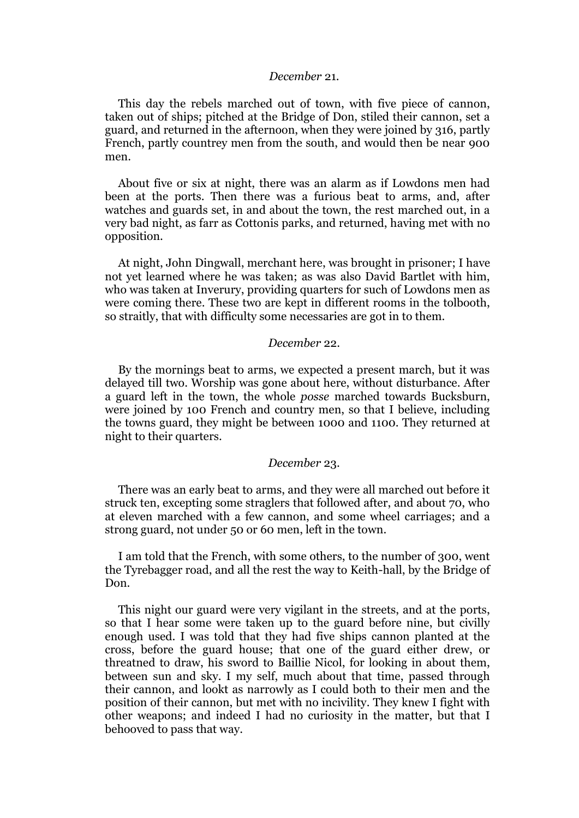#### *December* 21.

This day the rebels marched out of town, with five piece of cannon, taken out of ships; pitched at the Bridge of Don, stiled their cannon, set a guard, and returned in the afternoon, when they were joined by 316, partly French, partly countrey men from the south, and would then be near 900 men.

About five or six at night, there was an alarm as if Lowdons men had been at the ports. Then there was a furious beat to arms, and, after watches and guards set, in and about the town, the rest marched out, in a very bad night, as farr as Cottonis parks, and returned, having met with no opposition.

At night, John Dingwall, merchant here, was brought in prisoner; I have not yet learned where he was taken; as was also David Bartlet with him, who was taken at Inverury, providing quarters for such of Lowdons men as were coming there. These two are kept in different rooms in the tolbooth, so straitly, that with difficulty some necessaries are got in to them.

#### *December* 22.

By the mornings beat to arms, we expected a present march, but it was delayed till two. Worship was gone about here, without disturbance. After a guard left in the town, the whole *posse* marched towards Bucksburn, were joined by 100 French and country men, so that I believe, including the towns guard, they might be between 1000 and 1100. They returned at night to their quarters.

#### *December* 23.

There was an early beat to arms, and they were all marched out before it struck ten, excepting some straglers that followed after, and about 70, who at eleven marched with a few cannon, and some wheel carriages; and a strong guard, not under 50 or 60 men, left in the town.

I am told that the French, with some others, to the number of 300, went the Tyrebagger road, and all the rest the way to Keith-hall, by the Bridge of Don.

This night our guard were very vigilant in the streets, and at the ports, so that I hear some were taken up to the guard before nine, but civilly enough used. I was told that they had five ships cannon planted at the cross, before the guard house; that one of the guard either drew, or threatned to draw, his sword to Baillie Nicol, for looking in about them, between sun and sky. I my self, much about that time, passed through their cannon, and lookt as narrowly as I could both to their men and the position of their cannon, but met with no incivility. They knew I fight with other weapons; and indeed I had no curiosity in the matter, but that I behooved to pass that way.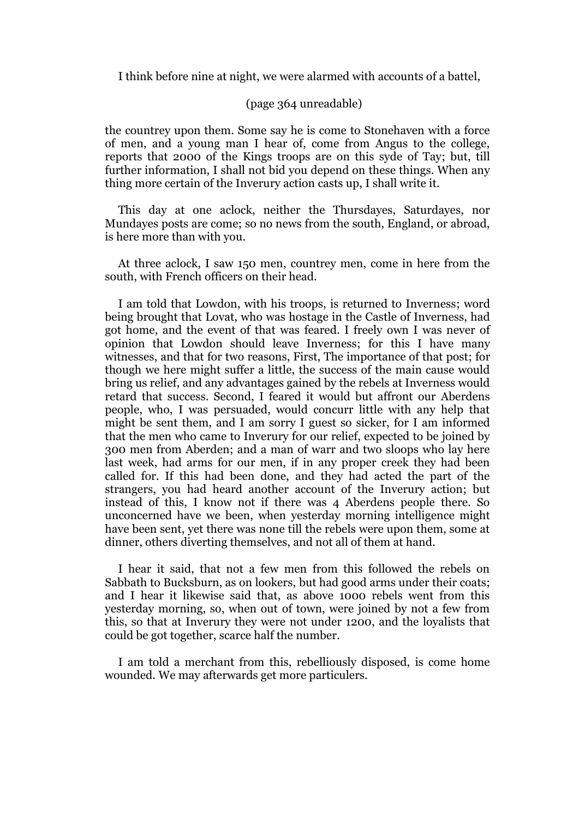I think before nine at night, we were alarmed with accounts of a battel,

#### (page 364 unreadable)

the countrey upon them. Some say he is come to Stonehaven with a force of men, and a young man I hear of, come from Angus to the college, reports that 2000 of the Kings troops are on this syde of Tay; but, till further information, I shall not bid you depend on these things. When any thing more certain of the Inverury action casts up, I shall write it.

This day at one aclock, neither the Thursdayes, Saturdayes, nor Mundayes posts are come; so no news from the south, England, or abroad, is here more than with you.

At three aclock, I saw 150 men, countrey men, come in here from the south, with French officers on their head.

I am told that Lowdon, with his troops, is returned to Inverness; word being brought that Lovat, who was hostage in the Castle of Inverness, had got home, and the event of that was feared. I freely own I was never of opinion that Lowdon should leave Inverness; for this I have many witnesses, and that for two reasons, First, The importance of that post; for though we here might suffer a little, the success of the main cause would bring us relief, and any advantages gained by the rebels at Inverness would retard that success. Second, I feared it would but affront our Aberdens people, who, I was persuaded, would concurr little with any help that might be sent them, and I am sorry I guest so sicker, for I am informed that the men who came to Inverury for our relief, expected to be joined by 300 men from Aberden; and a man of warr and two sloops who lay here last week, had arms for our men, if in any proper creek they had been called for. If this had been done, and they had acted the part of the strangers, you had heard another account of the Inverury action; but instead of this, I know not if there was 4 Aberdens people there. So unconcerned have we been, when yesterday morning intelligence might have been sent, yet there was none till the rebels were upon them, some at dinner, others diverting themselves, and not all of them at hand.

I hear it said, that not a few men from this followed the rebels on Sabbath to Bucksburn, as on lookers, but had good arms under their coats; and I hear it likewise said that, as above 1000 rebels went from this yesterday morning, so, when out of town, were joined by not a few from this, so that at Inverury they were not under 1200, and the loyalists that could be got together, scarce half the number.

I am told a merchant from this, rebelliously disposed, is come home wounded. We may afterwards get more particulers.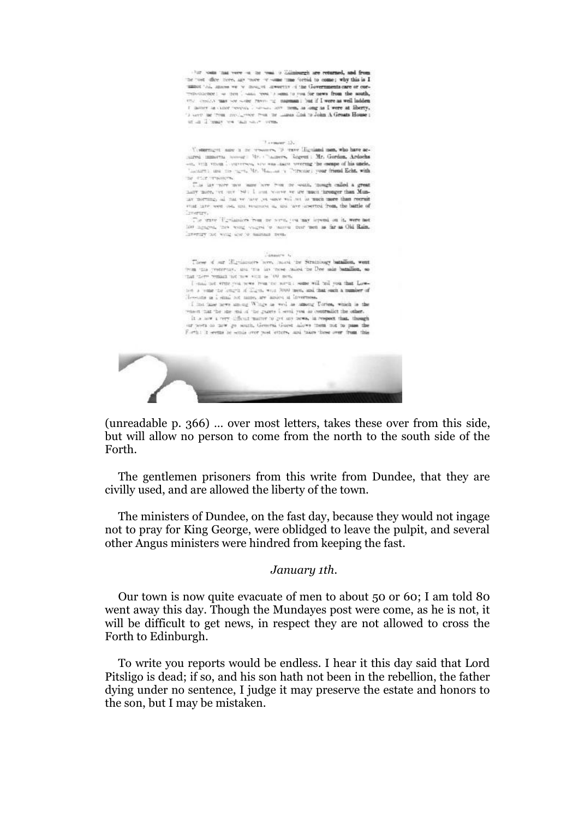that looks that years on the road is Zdinisargh are returned, and fro the "ost office tiere, any "nore or some time forbid to come; why this is I minor too, moves we we move in answers of the Governments care or con-<br>responsionce : we free looking you, is seen to you for news from the south, ence control may see some raving to manual that if I were as well ladden I have as once responsion on the new mem, as long as I were at liberty, serve was not we want I in to

#### $7$  consum  $25$

Undertup to any in the streamers,  $\Phi$  trave Highland men, who have accurred immertial space of the changers. Regress : Mr. Gordon, Ardochs and this uncle, and the mass mass mass were any the escape of his uncle. "meant), and the right, Mr. Massach a Thermodel your friend Echt, with the stripe presences.

this lay now now have from no want, mough called a great hany note, we any '80; I am wave so we much hearger than Munar norming, all that we have put save will not be much more than recruit stud late wen ost, uni soumes a, usi 'ave inserted from, the battle of Invertor.

The trave "Ecollattices from me worm, you may lepsond on it, were not too agagest, they wong soughs to harmal dere men as far as Old Rain, invertiry not write she to manage neu-

#### Country 6

These of our Highlanders here, much the Stratningy baraffice, went  $\pm r$  m una presterviav, una una una viene maissa una Dee sale batallion, so that there we<br>main not use vien as 100 non.

I mak not erms you was from me sortell some will tell you that Lownon a tome the longsh of Klass, were 7000 men, and that such a number of Howcans as I small not name, are assion at Invertises.

I has have news among Wings as well as among Turies, which is the was in that the size and of the guarts I send you do contradict the other. It is now a very difficult matter to get any news, in respect that, though our norm to now go worth, General Guest slows them not to pass the Forth: it seems he sends over post letters, and takes these over from this



(unreadable p. 366) … over most letters, takes these over from this side, but will allow no person to come from the north to the south side of the Forth.

The gentlemen prisoners from this write from Dundee, that they are civilly used, and are allowed the liberty of the town.

The ministers of Dundee, on the fast day, because they would not ingage not to pray for King George, were oblidged to leave the pulpit, and several other Angus ministers were hindred from keeping the fast.

#### *January 1th.*

Our town is now quite evacuate of men to about 50 or 60; I am told 80 went away this day. Though the Mundayes post were come, as he is not, it will be difficult to get news, in respect they are not allowed to cross the Forth to Edinburgh.

To write you reports would be endless. I hear it this day said that Lord Pitsligo is dead; if so, and his son hath not been in the rebellion, the father dying under no sentence, I judge it may preserve the estate and honors to the son, but I may be mistaken.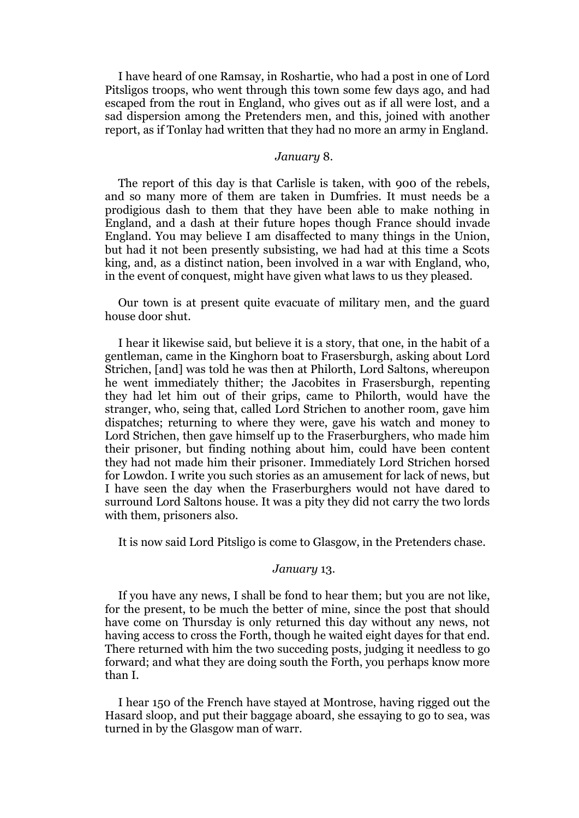I have heard of one Ramsay, in Roshartie, who had a post in one of Lord Pitsligos troops, who went through this town some few days ago, and had escaped from the rout in England, who gives out as if all were lost, and a sad dispersion among the Pretenders men, and this, joined with another report, as if Tonlay had written that they had no more an army in England.

#### *January* 8.

The report of this day is that Carlisle is taken, with 900 of the rebels, and so many more of them are taken in Dumfries. It must needs be a prodigious dash to them that they have been able to make nothing in England, and a dash at their future hopes though France should invade England. You may believe I am disaffected to many things in the Union, but had it not been presently subsisting, we had had at this time a Scots king, and, as a distinct nation, been involved in a war with England, who, in the event of conquest, might have given what laws to us they pleased.

Our town is at present quite evacuate of military men, and the guard house door shut.

I hear it likewise said, but believe it is a story, that one, in the habit of a gentleman, came in the Kinghorn boat to Frasersburgh, asking about Lord Strichen, [and] was told he was then at Philorth, Lord Saltons, whereupon he went immediately thither; the Jacobites in Frasersburgh, repenting they had let him out of their grips, came to Philorth, would have the stranger, who, seing that, called Lord Strichen to another room, gave him dispatches; returning to where they were, gave his watch and money to Lord Strichen, then gave himself up to the Fraserburghers, who made him their prisoner, but finding nothing about him, could have been content they had not made him their prisoner. Immediately Lord Strichen horsed for Lowdon. I write you such stories as an amusement for lack of news, but I have seen the day when the Fraserburghers would not have dared to surround Lord Saltons house. It was a pity they did not carry the two lords with them, prisoners also.

It is now said Lord Pitsligo is come to Glasgow, in the Pretenders chase.

#### *January* 13.

If you have any news, I shall be fond to hear them; but you are not like, for the present, to be much the better of mine, since the post that should have come on Thursday is only returned this day without any news, not having access to cross the Forth, though he waited eight dayes for that end. There returned with him the two succeding posts, judging it needless to go forward; and what they are doing south the Forth, you perhaps know more than I.

I hear 150 of the French have stayed at Montrose, having rigged out the Hasard sloop, and put their baggage aboard, she essaying to go to sea, was turned in by the Glasgow man of warr.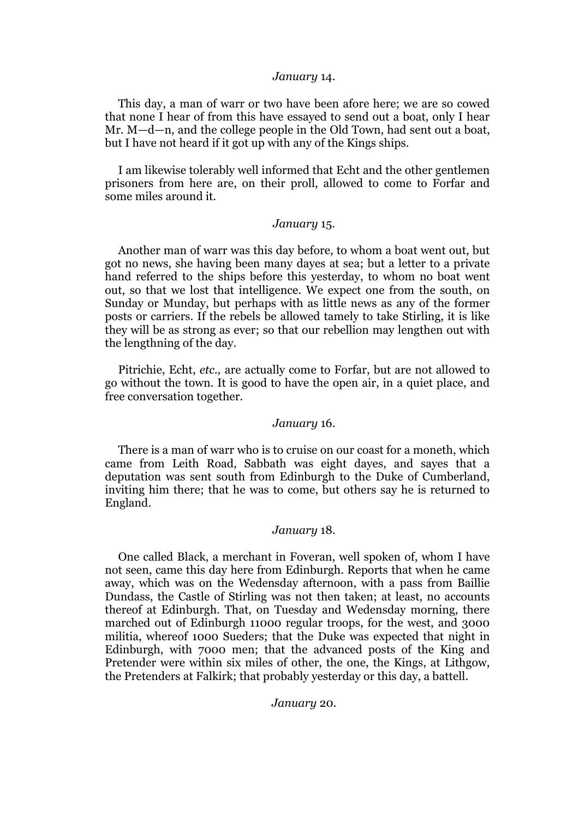#### *January* 14.

This day, a man of warr or two have been afore here; we are so cowed that none I hear of from this have essayed to send out a boat, only I hear Mr. M—d—n, and the college people in the Old Town, had sent out a boat, but I have not heard if it got up with any of the Kings ships.

I am likewise tolerably well informed that Echt and the other gentlemen prisoners from here are, on their proll, allowed to come to Forfar and some miles around it.

# *January* 15.

Another man of warr was this day before, to whom a boat went out, but got no news, she having been many dayes at sea; but a letter to a private hand referred to the ships before this yesterday, to whom no boat went out, so that we lost that intelligence. We expect one from the south, on Sunday or Munday, but perhaps with as little news as any of the former posts or carriers. If the rebels be allowed tamely to take Stirling, it is like they will be as strong as ever; so that our rebellion may lengthen out with the lengthning of the day.

Pitrichie, Echt, *etc.,* are actually come to Forfar, but are not allowed to go without the town. It is good to have the open air, in a quiet place, and free conversation together.

#### *January* 16.

There is a man of warr who is to cruise on our coast for a moneth, which came from Leith Road, Sabbath was eight dayes, and sayes that a deputation was sent south from Edinburgh to the Duke of Cumberland, inviting him there; that he was to come, but others say he is returned to England.

# *January* 18.

One called Black, a merchant in Foveran, well spoken of, whom I have not seen, came this day here from Edinburgh. Reports that when he came away, which was on the Wedensday afternoon, with a pass from Baillie Dundass, the Castle of Stirling was not then taken; at least, no accounts thereof at Edinburgh. That, on Tuesday and Wedensday morning, there marched out of Edinburgh 11000 regular troops, for the west, and 3000 militia, whereof 1000 Sueders; that the Duke was expected that night in Edinburgh, with 7000 men; that the advanced posts of the King and Pretender were within six miles of other, the one, the Kings, at Lithgow, the Pretenders at Falkirk; that probably yesterday or this day, a battell.

*January* 20.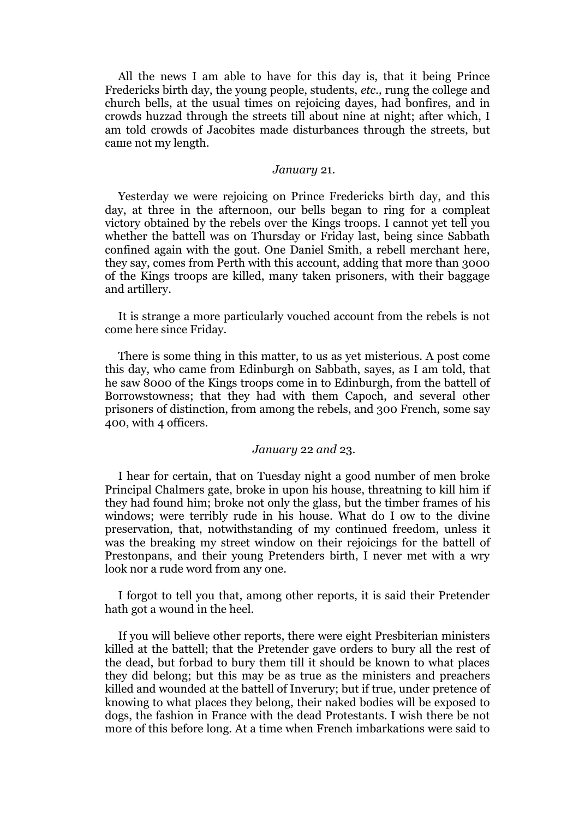All the news I am able to have for this day is, that it being Prince Fredericks birth day, the young people, students, *etc.,* rung the college and church bells, at the usual times on rejoicing dayes, had bonfires, and in crowds huzzad through the streets till about nine at night; after which, I am told crowds of Jacobites made disturbances through the streets, but саше not mу length.

#### *January* 21.

Yesterday we were rejoicing on Prince Fredericks birth day, and this day, at three in the afternoon, our bells began to ring for a compleat victory obtained by the rebels оvег the Kings troops. I cannot yet tell you whether the battell was on Thursday or Friday last, being since Sabbath confined again with the gout. One Daniel Smith, a rebell merchant here, they say, comes from Perth with this account, adding that more than 3000 of the Kings troops are killed, many taken prisoners, with their baggage and artillery.

It is strange a more particularly vouched account from the rebels is not comе here since Friday.

There is some thing in this matter, to us as yet misterious. A post come this day, who came from Edinburgh on Sabbath, sayes, as I am told, that he saw 8000 of the Kings troops come in to Edinburgh, from the battell of Borrowstowness; that they had with them Capoch, and several other prisoners of distinction, from among the rebels, and 300 French, some say 400, with 4 officers.

#### *January* 22 *and* 23.

I hear for certain, that on Tuesday night a good number of men broke Principal Chalmers gate, broke in upon his house, threatning to kill him if they had found him; broke not only the glass, but the timber frames of his windows; were terribly rude in his house. What do I ow to the divine preservation, that, notwithstanding of my continued freedom, unless it was the breaking my street window on their rejoicings for the battell of Prestonpans, and their young Pretenders birth, I never met with a wry look nor a rude word from any one.

I forgot to tell you that, among other reports, it is said their Pretender hath got a wound in the heel.

If you will believe other reports, there were eight Presbiterian ministers killed at the battell; that the Pretender gave orders to bury all the rest of the dead, but forbad to bury them till it should be known to what places they did belong; but this may be as true as the ministers and preachers killed and wounded at the battell of Inverury; but if true, under pretence of knowing to what places they belong, their naked bodies will be exposed to dogs, the fashion in France with the dead Protestants. I wish there be not more of this before long. At a time when French imbarkations were said to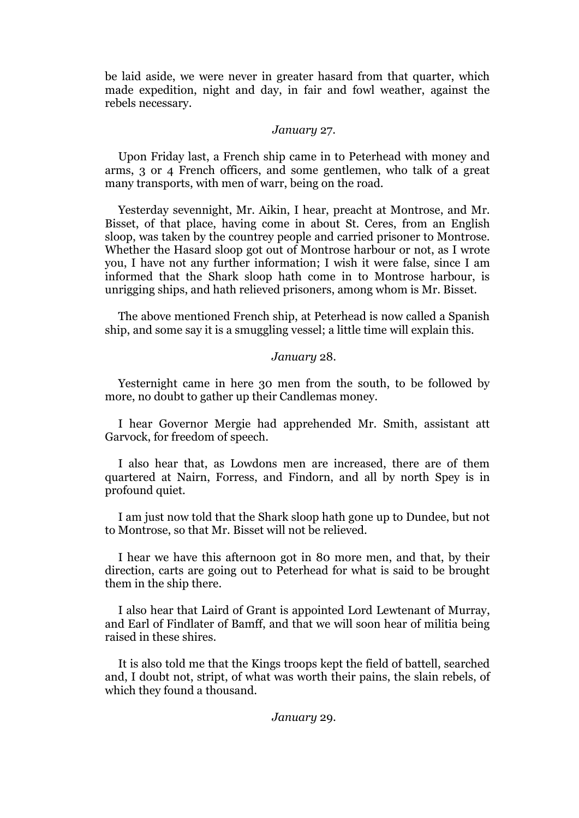be laid aside, we were never in greater hasard from that quarter, which made expedition, night and day, in fair and fowl weather, against the rebels necessary.

#### *January* 27.

Upon Friday last, a French ship came in to Peterhead with money and arms, 3 or 4 French officers, and some gentlemen, who talk of a great many transports, with men of warr, being on the road.

Yesterday sevennight, Mr. Aikin, I hear, preacht at Montrose, and Mr. Bisset, of that place, having come in about St. Ceres, from an English sloop, was taken by the countrey people and carried prisoner to Montrose. Whether the Hasard sloop got out of Montrose harbour or not, as I wrote you, I have not any further information; I wish it were false, since I am informed that the Shark sloop hath come in to Montrose harbour, is unrigging ships, and hath relieved prisoners, among whom is Mr. Bisset.

The above mentioned French ship, at Peterhead is now called a Spanish ship, and some say it is a smuggling vessel; a little time will explain this.

#### *January* 28.

Yesternight came in here 30 men from the south, to be followed by more, no doubt to gather up their Candlemas money.

I hear Governor Mergie had apprehended Mr. Smith, assistant att Garvock, for freedom of speech.

I also hear that, as Lowdons men are increased, there are of them quartered at Nairn, Forress, and Findorn, and all by north Spey is in profound quiet.

I am just now told that the Shark sloop hath gone up to Dundee, but not to Montrose, so that Mr. Bisset will not be relieved.

I hear we have this afternoon got in 80 more men, and that, by their direction, carts are going out to Peterhead for what is said to be brought them in the ship there.

I also hear that Laird of Grant is appointed Lord Lewtenant of Murray, and Earl of Findlater of Bamff, and that we will soon hear of militia being raised in these shires.

It is also told me that the Kings troops kept the field of battell, searched and, I doubt not, stript, of what was worth their pains, the slain rebels, of which they found a thousand.

#### *January* 29.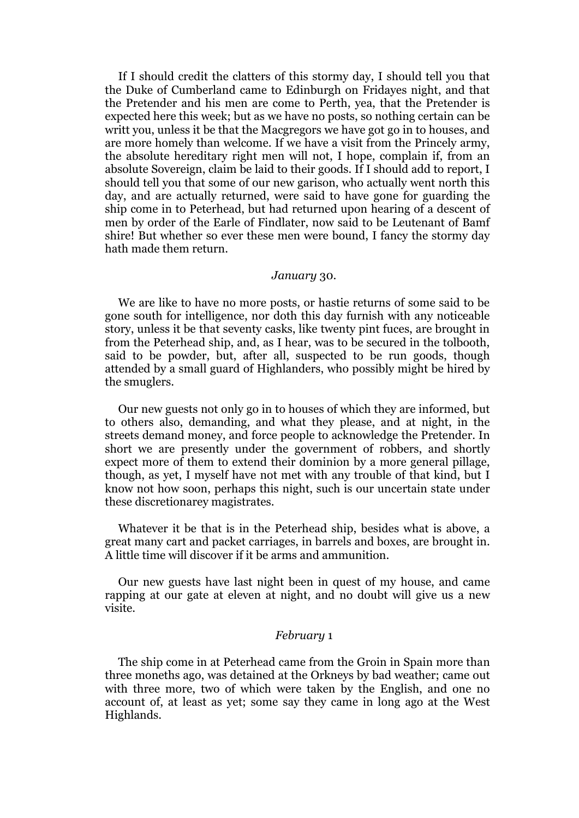If I should credit the clatters of this stormy day, I should tell you that the Duke of Cumberland came to Edinburgh on Fridayes night, and that the Pretender and his men are come to Perth, yea, that the Pretender is expected here this week; but as we have no posts, so nothing certain can be writt you, unless it be that the Macgregors we have got go in to houses, and are more homely than welcome. If we have a visit from the Princely army, the absolute hereditary right men will not, I hope, complain if, from an absolute Sovereign, claim be laid to their goods. If I should add to report, I should tell you that some of our new garison, who actually went north this day, and are actually returned, were said to have gone for guarding the ship come in to Peterhead, but had returned upon hearing of a descent of men by order of the Earle of Findlater, now said to be Leutenant of Bamf shire! But whether so ever these men were bound, I fancy the stormy day hath made them return.

#### *January* 30.

We are like to have no more posts, or hastie returns of some said to be gone south for intelligence, nor doth this day furnish with any noticeable story, unless it be that seventy casks, like twenty pint fuces, are brought in from the Peterhead ship, and, as I hear, was to be secured in the tolbooth, said to be powder, but, after all, suspected to be run goods, though attended by a small guard of Highlanders, who possibly might be hired by the smuglers.

Our new guests not only go in to houses of which they are informed, but to others also, demanding, and what they please, and at night, in the streets demand money, and force people to acknowledge the Pretender. In short we are presently under the government of robbers, and shortly expect more of them to extend their dominion by a more general pillage, though, as yet, I myself have not met with any trouble of that kind, but I know not how soon, perhaps this night, such is our uncertain state under these discretionarey magistrates.

Whatever it be that is in the Peterhead ship, besides what is above, a great many cart and packet carriages, in barrels and boxes, are brought in. A little time will discover if it be arms and ammunition.

Our new guests have last night been in quest of my house, and came rapping at our gate at eleven at night, and no doubt will give us a new visite.

### *February* 1

The ship come in at Peterhead came from the Groin in Spain more than three moneths ago, was detained at the Orkneys by bad weather; came out with three more, two of which were taken by the English, and one no account of, at least as yet; some say they came in long ago at the West Highlands.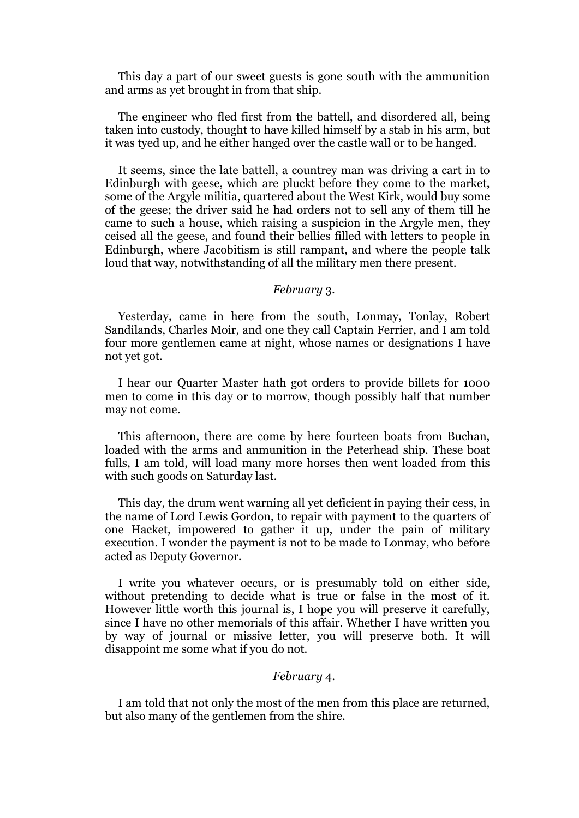This day a part of our sweet guests is gone south with the ammunition and arms as yet brought in from that ship.

The engineer who fled first from the battell, and disordered all, being taken into custody, thought to have killed himself by a stab in his arm, but it was tyed up, and he either hanged over the castle wall or to be hanged.

It seems, since the late battell, a countrey man was driving a cart in to Edinburgh with geese, which are pluckt before they come to the market, some of the Argyle militia, quartered about the West Kirk, would buy some of the geese; the driver said he had orders not to sell any of them till he came to such a house, which raising a suspicion in the Argyle men, they ceised all the geese, and found their bellies filled with letters to people in Edinburgh, where Jacobitism is still rampant, and where the people talk loud that way, notwithstanding of all the military men there present.

#### *February* 3.

Yesterday, came in here from the south, Lonmay, Tonlay, Robert Sandilands, Charles Moir, and one they call Captain Ferrier, and I am told four more gentlemen came at night, whose names or designations I have not yet got.

I hear our Quarter Master hath got orders to provide billets for 1000 men to come in this day or to morrow, though possibly half that number may not come.

This afternoon, there are come by here fourteen boats from Buchan, loaded with the arms and anmunition in the Peterhead ship. These boat fulls, I am told, will load many more horses then went loaded from this with such goods on Saturday last.

This day, the drum went warning all yet deficient in paying their cess, in the name of Lord Lewis Gordon, to repair with payment to the quarters of one Hacket, impowered to gather it up, under the pain of military execution. I wonder the payment is not to be made to Lonmay, who before acted as Deputy Governor.

I write you whatever occurs, or is presumably told on either side, without pretending to decide what is true or false in the most of it. However little worth this journal is, I hope you will preserve it carefully, since I have no other memorials of this affair. Whether I have written you by way of journal or missive letter, you will preserve both. It will disappoint me some what if you do not.

# *February* 4.

I am told that not only the most of the men from this place are returned, but also many of the gentlemen from the shire.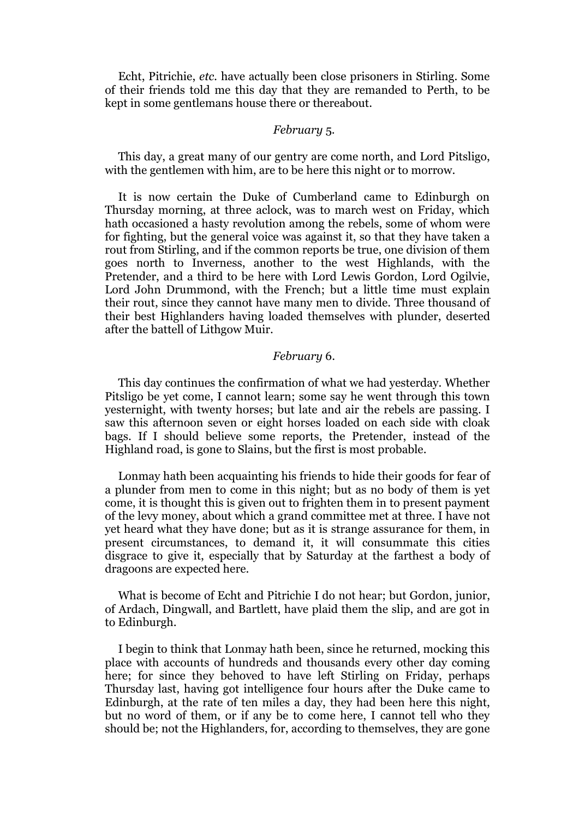Echt, Pitrichie, *etc.* have actually been close prisoners in Stirling. Some of their friends told me this day that they are remanded to Perth, to be kept in some gentlemans house there or thereabout.

#### *February* 5.

This day, a great many of our gentry are come north, and Lord Pitsligo, with the gentlemen with him, are to be here this night or to morrow.

It is now certain the Duke of Cumberland came to Edinburgh on Thursday morning, at three aclock, was to march west on Friday, which hath occasioned a hasty revolution among the rebels, some of whom were for fighting, but the general voice was against it, so that they have taken a rout from Stirling, and if the common reports be true, one division of them goes north to Inverness, another to the west Highlands, with the Pretender, and a third to be here with Lord Lewis Gordon, Lord Ogilvie, Lord John Drummond, with the French; but a little time must explain their rout, since they cannot have many men to divide. Three thousand of their best Highlanders having loaded themselves with plunder, deserted after the battell of Lithgow Muir.

#### *February* 6.

This day continues the confirmation of what we had yesterday. Whether Pitsligo be yet come, I cannot learn; some say he went through this town yesternight, with twenty horses; but late and air the rebels are passing. I saw this afternoon seven or eight horses loaded on each side with cloak bags. If I should believe some reports, the Pretender, instead of the Highland road, is gone to Slains, but the first is most probable.

Lonmay hath been acquainting his friends to hide their goods for fear of a plunder from men to come in this night; but as no body of them is yet come, it is thought this is given out to frighten them in to present payment of the levy money, about which a grand committee met at three. I have not yet heard what they have done; but as it is strange assurance for them, in present circumstances, to demand it, it will consummate this cities disgrace to give it, especially that by Saturday at the farthest a body of dragoons are expected here.

What is become of Echt and Pitrichie I do not hear; but Gordon, junior, of Ardach, Dingwall, and Bartlett, have plaid them the slip, and are got in to Edinburgh.

I begin to think that Lonmay hath been, since he returned, mocking this place with accounts of hundreds and thousands every other day coming here; for since they behoved to have left Stirling on Friday, perhaps Thursday last, having got intelligence four hours after the Duke came to Edinburgh, at the rate of ten miles a day, they had been here this night, but no word of them, or if any be to come here, I cannot tell who they should be; not the Highlanders, for, according to themselves, they are gone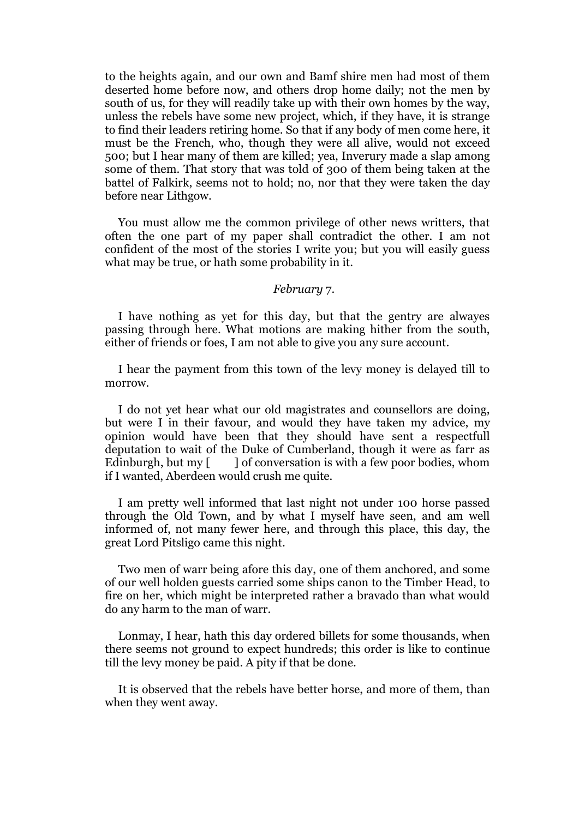to the heights again, and our own and Bamf shire men had most of them deserted home before now, and others drop home daily; not the men by south of us, for they will readily take up with their own homes by the way, unless the rebels have some new project, which, if they have, it is strange to find their leaders retiring home. So that if any body of men come here, it must be the French, who, though they were all alive, would not exceed 500; but I hear many of them are killed; yea, Inverury made a slap among some of them. That story that was told of 300 of them being taken at the battel of Falkirk, seems not to hold; no, nor that they were taken the day before near Lithgow.

You must allow me the common privilege of other news writters, that often the one part of my paper shall contradict the other. I am not confident of the most of the stories I write you; but you will easily guess what may be true, or hath some probability in it.

#### *February* 7.

I have nothing as yet for this day, but that the gentry are alwayes passing through here. What motions are making hither from the south, either of friends or foes, I am not able to give you any sure account.

I hear the payment from this town of the levy money is delayed till to morrow.

I do not yet hear what our old magistrates and counsellors are doing, but were I in their favour, and would they have taken my advice, my opinion would have been that they should have sent a respectfull deputation to wait of the Duke of Cumberland, though it were as farr as Edinburgh, but my  $\lceil \cdot \rceil$  of conversation is with a few poor bodies, whom if I wanted, Aberdeen would crush me quite.

I am pretty well informed that last night not under 100 horse passed through the Old Town, and by what I myself have seen, and am well informed of, not many fewer here, and through this place, this day, the great Lord Pitsligo came this night.

Two men of warr being afore this day, one of them anchored, and some of our well holden guests carried some ships canon to the Timber Head, to fire on her, which might be interpreted rather a bravado than what would do any harm to the man of warr.

Lonmay, I hear, hath this day ordered billets for some thousands, when there seems not ground to expect hundreds; this order is like to continue till the levy money be paid. A pity if that be done.

It is observed that the rebels have better horse, and more of them, than when they went away.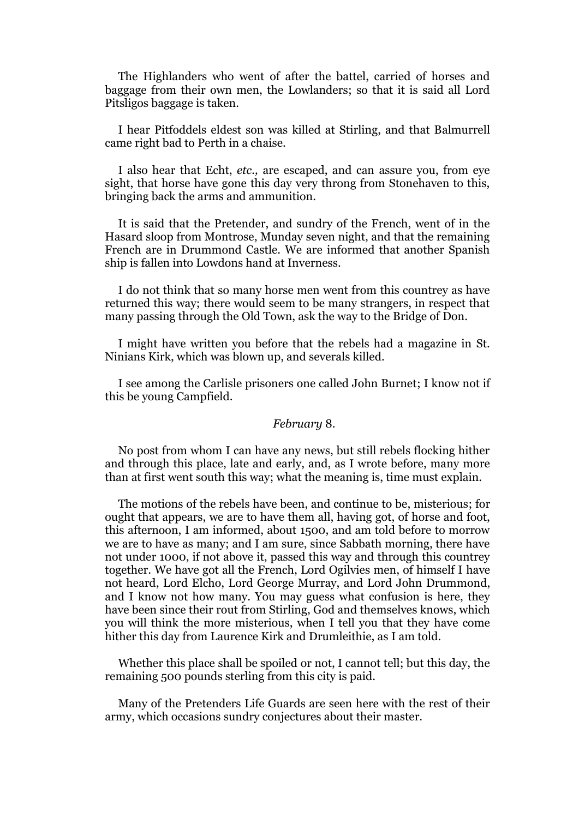The Highlanders who went of after the battel, carried of horses and baggage from their own men, the Lowlanders; so that it is said all Lord Pitsligos baggage is taken.

I hear Pitfoddels eldest son was killed at Stirling, and that Balmurrell came right bad to Perth in a chaise.

I also hear that Echt, *etc.,* are escaped, and can assure you, from eye sight, that horse have gone this day very throng from Stonehaven to this, bringing back the arms and ammunition.

It is said that the Pretender, and sundry of the French, went of in the Hasard sloop from Montrose, Munday seven night, and that the remaining French are in Drummond Castle. We are informed that another Spanish ship is fallen into Lowdons hand at Inverness.

I do not think that so many horse men went from this countrey as have returned this way; there would seem to be many strangers, in respect that many passing through the Old Town, ask the way to the Bridge of Don.

I might have written you before that the rebels had a magazine in St. Ninians Kirk, which was blown up, and severals killed.

I see among the Carlisle prisoners one called John Burnet; I know not if this be young Campfield.

# *February* 8.

No post from whom I can have any news, but still rebels flocking hither and through this place, late and early, and, as I wrote before, many more than at first went south this way; what the meaning is, time must explain.

The motions of the rebels have been, and continue to be, misterious; for ought that appears, we are to have them all, having got, of horse and foot, this afternoon, I am informed, about 1500, and am told before to morrow we are to have as many; and I am sure, since Sabbath morning, there have not under 1000, if not above it, passed this way and through this countrey together. We have got all the French, Lord Ogilvies men, of himself I have not heard, Lord Elcho, Lord George Murray, and Lord John Drummond, and I know not how many. You may guess what confusion is here, they have been since their rout from Stirling, God and themselves knows, which you will think the more misterious, when I tell you that they have come hither this day from Laurence Kirk and Drumleithie, as I am told.

Whether this place shall be spoiled or not, I cannot tell; but this day, the remaining 500 pounds sterling from this city is paid.

Many of the Pretenders Life Guards are seen here with the rest of their army, which occasions sundry conjectures about their master.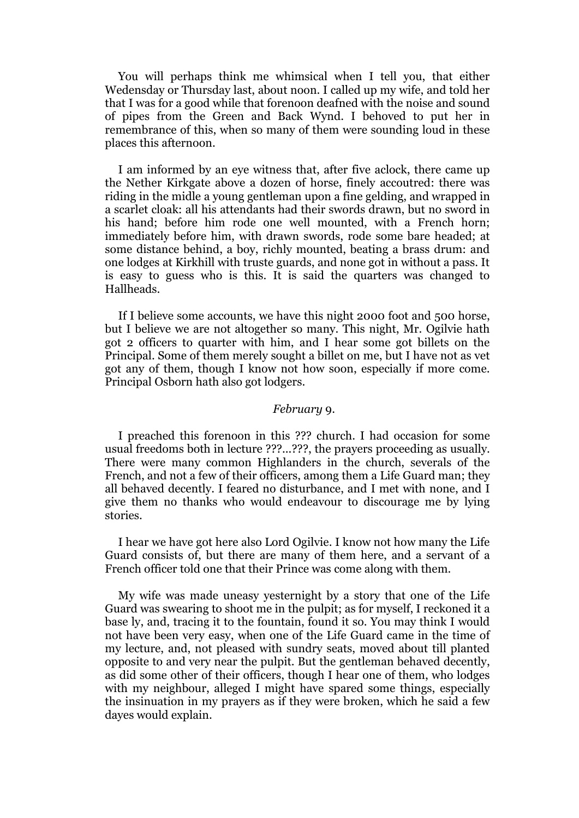You will perhaps think me whimsical when I tell you, that either Wedensday or Thursday last, about noon. I called up my wife, and told her that I was for a good while that forenoon deafned with the noise and sound of pipes from the Green and Back Wynd. I behoved to put her in remembrance of this, when so many of them were sounding loud in these places this afternoon.

I am informed by an eye witness that, after five aclock, there came up the Nether Kirkgate above a dozen of horse, finely accoutred: there was riding in the midle a young gentleman upon a fine gelding, and wrapped in a scarlet cloak: all his attendants had their swords drawn, but no sword in his hand; before him rode one well mounted, with a French horn; immediately before him, with drawn swords, rode some bare headed; at some distance behind, a boy, richly mounted, beating a brass drum: and one lodges at Kirkhill with truste guards, and none got in without a pass. It is easy to guess who is this. It is said the quarters was changed to Hallheads.

If I believe some accounts, we have this night 2000 foot and 500 horse, but I believe we are not altogether so many. This night, Mr. Ogilvie hath got 2 officers to quarter with him, and I hear some got billets on the Principal. Some of them merely sought a billet on me, but I have not as vet got any of them, though I know not how soon, especially if more come. Principal Osborn hath also got lodgers.

#### *February* 9.

I preached this forenoon in this ??? church. I had occasion for some usual freedoms both in lecture ???...???, the prayers proceeding as usually. There were many common Highlanders in the church, severals of the French, and not a few of their officers, among them a Life Guard man; they all behaved decently. I feared no disturbance, and I met with none, and I give them no thanks who would endeavour to discourage me by lying stories.

I hear we have got here also Lord Ogilvie. I know not how many the Life Guard consists of, but there are many of them here, and a servant of a French officer told one that their Prince was come along with them.

My wife was made uneasy yesternight by a story that one of the Life Guard was swearing to shoot me in the pulpit; as for myself, I reckoned it a base ly, and, tracing it to the fountain, found it so. You may think I would not have been very easy, when one of the Life Guard came in the time of my lecture, and, not pleased with sundry seats, moved about till planted opposite to and very near the pulpit. But the gentleman behaved decently, as did some other of their officers, though I hear one of them, who lodges with my neighbour, alleged I might have spared some things, especially the insinuation in my prayers as if they were broken, which he said a few dayes would explain.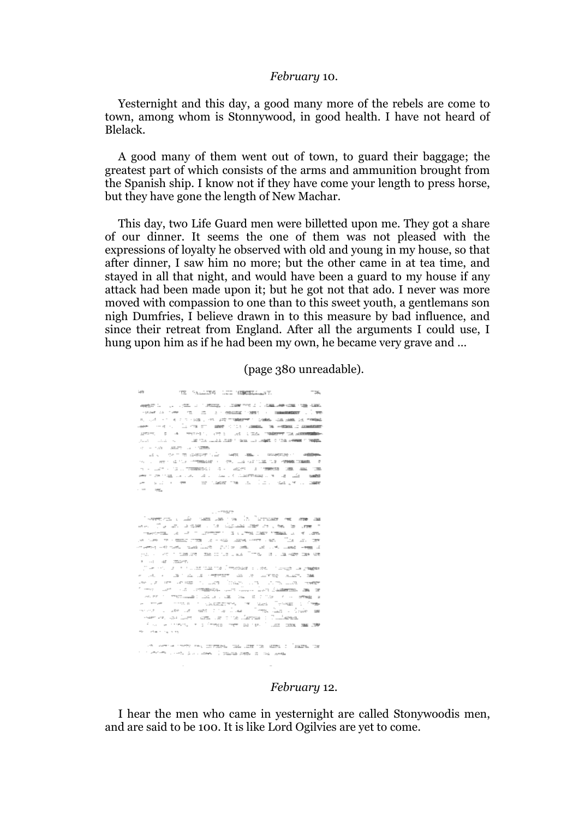#### *February* 10.

Yesternight and this day, a good many more of the rebels are come to town, among whom is Stonnywood, in good health. I have not heard of Blelack.

A good many of them went out of town, to guard their baggage; the greatest part of which consists of the arms and ammunition brought from the Spanish ship. I know not if they have come your length to press horse, but they have gone the length of New Machar.

This day, two Life Guard men were billetted upon me. They got a share of our dinner. It seems the one of them was not pleased with the expressions of loyalty he observed with old and young in my house, so that after dinner, I saw him no more; but the other came in at tea time, and stayed in all that night, and would have been a guard to my house if any attack had been made upon it; but he got not that ado. I never was more moved with compassion to one than to this sweet youth, a gentlemans son nigh Dumfries, I believe drawn in to this measure by bad influence, and since their retreat from England. After all the arguments I could use, I hung upon him as if he had been my own, he became very grave and …

(page 380 unreadable).

| TE RELETTA LES MENSES LAT.<br>$-1/8$                                                                                                                                                                                                                                                                                                                                                                                                                                                 | $-254$ |
|--------------------------------------------------------------------------------------------------------------------------------------------------------------------------------------------------------------------------------------------------------------------------------------------------------------------------------------------------------------------------------------------------------------------------------------------------------------------------------------|--------|
| THE R. P. LEWIS CO., LANSING MICH. 49-14039-1-120-2                                                                                                                                                                                                                                                                                                                                                                                                                                  |        |
| THANK AN OWNER TO THE ATT OF CHANGES THEY IN THROUGHEES IN THE                                                                                                                                                                                                                                                                                                                                                                                                                       |        |
| R. Golf H. T. H. P. T. How J. HALLEST TIMBERT TO COMM. CON SAME CALIFORNIA                                                                                                                                                                                                                                                                                                                                                                                                           |        |
| we had a family of the control of the second and the second controller                                                                                                                                                                                                                                                                                                                                                                                                               |        |
| AND THE R. P. LEWIS CO., LANSING MICH. 49-14039-1-120-2                                                                                                                                                                                                                                                                                                                                                                                                                              |        |
| provided a second control of the condition of the company of the company of the property                                                                                                                                                                                                                                                                                                                                                                                             |        |
| or a risk of start as interest                                                                                                                                                                                                                                                                                                                                                                                                                                                       |        |
|                                                                                                                                                                                                                                                                                                                                                                                                                                                                                      |        |
| THE R. P. LEWIS CO., LANSING MICH. 49-14039-1-120-2012 CO., LANSING COMMISSION, LANSING                                                                                                                                                                                                                                                                                                                                                                                              |        |
| $\mathcal{A}^{\mathcal{A}} \leftarrow \mathcal{A}^{\mathcal{A}} \leftarrow \mathcal{A}^{\mathcal{A}} \leftarrow \mathcal{A}^{\mathcal{A}} \mathcal{A}^{\mathcal{A}} \mathcal{A}^{\mathcal{A}} \mathcal{A}^{\mathcal{A}} \right) \quad \text{and} \quad \mathcal{A}^{\mathcal{A}} \leftarrow \mathcal{A}^{\mathcal{A}} \mathcal{A}^{\mathcal{A}} \mathcal{A}^{\mathcal{A}} \mathcal{A}^{\mathcal{A}} \mathcal{A}^{\mathcal{A}} \mathcal{A}^{\mathcal{A}} \mathcal{A}^{\mathcal{A}} \$ |        |
| award controlled and controlled a controlled the controlled and controlled and controlled and controlled and controlled and controlled and controlled and controlled and controlled and controlled and controlled and controll                                                                                                                                                                                                                                                       |        |
| which a collect the company of the collection of the collection of the collection of the collection of the collection of the collection of the collection of the collection of the collection of the collection of the collect                                                                                                                                                                                                                                                       |        |
| $\overline{\text{min}}$<br>$-1.01$                                                                                                                                                                                                                                                                                                                                                                                                                                                   |        |
|                                                                                                                                                                                                                                                                                                                                                                                                                                                                                      |        |
|                                                                                                                                                                                                                                                                                                                                                                                                                                                                                      |        |
| $- - 798.77$                                                                                                                                                                                                                                                                                                                                                                                                                                                                         |        |
| '-wether that all materials with "concess we was as                                                                                                                                                                                                                                                                                                                                                                                                                                  |        |
| as Taun administration and the second                                                                                                                                                                                                                                                                                                                                                                                                                                                |        |
| THE REPORT OF A REPORT OF A REPORT OF THE PARTIES. A REPORT OF A STRUCTURE OF A REPORT OF A REPORT OF A REPORT OF A REPORT OF A REPORT OF A REPORT OF A REPORT OF A REPORT OF A REPORT OF A REPORT OF A REPORT OF A REPORT OF                                                                                                                                                                                                                                                        |        |
| an over the water from the state wave serve a social field was the                                                                                                                                                                                                                                                                                                                                                                                                                   |        |
| an ann an comhair agus leach a guilt an amhair ann ainm anns anns an air                                                                                                                                                                                                                                                                                                                                                                                                             |        |
| pathology and the contract of the contract that is a firm to the contract contracts we                                                                                                                                                                                                                                                                                                                                                                                               |        |
| R. Lat. All Charles.                                                                                                                                                                                                                                                                                                                                                                                                                                                                 |        |
| ji se kot na ni na zamazi na Smedala su dolini zavgo za p <del>aga</del> s                                                                                                                                                                                                                                                                                                                                                                                                           |        |
| a contra de la convertera de la contra mais de                                                                                                                                                                                                                                                                                                                                                                                                                                       |        |
| where the second is a main from the second term and we                                                                                                                                                                                                                                                                                                                                                                                                                               |        |
| former and a community with June 2012 Sudmitted and the                                                                                                                                                                                                                                                                                                                                                                                                                              |        |
| where it continuously indicated and the state of the contents of                                                                                                                                                                                                                                                                                                                                                                                                                     |        |
| A THE CONSTITUTION CONSISTENT OF SAN TENNIS COMPA                                                                                                                                                                                                                                                                                                                                                                                                                                    |        |
| were a security and the Car Time Car a Gale an                                                                                                                                                                                                                                                                                                                                                                                                                                       |        |
| Here we have faced hard the control facebook of Combarged                                                                                                                                                                                                                                                                                                                                                                                                                            |        |
| the contents in a free of remains the fillest conditions and                                                                                                                                                                                                                                                                                                                                                                                                                         |        |
| Ab - chair raining                                                                                                                                                                                                                                                                                                                                                                                                                                                                   |        |
|                                                                                                                                                                                                                                                                                                                                                                                                                                                                                      |        |
| The control control was controlled to assume the same of the same con-                                                                                                                                                                                                                                                                                                                                                                                                               |        |
| n in strictly counts do connect ( papage paper of the counts                                                                                                                                                                                                                                                                                                                                                                                                                         |        |
|                                                                                                                                                                                                                                                                                                                                                                                                                                                                                      |        |
|                                                                                                                                                                                                                                                                                                                                                                                                                                                                                      |        |

# *February* 12.

I hear the men who came in yesternight are called Stonywoodis men, and are said to be 100. It is like Lord Ogilvies are yet to come.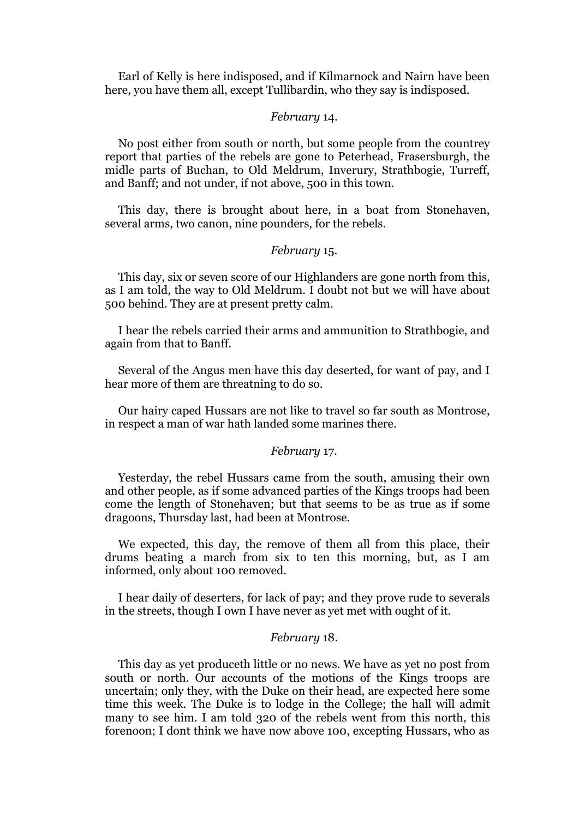Earl of Kelly is here indisposed, and if Kilmarnock and Nairn have been here, you have them all, except Tullibardin, who they say is indisposed.

#### *February* 14.

No post either from south or north, but some people from the countrey report that parties of the rebels are gone to Peterhead, Frasersburgh, the midle parts of Buchan, to Old Meldrum, Inverury, Strathbogie, Turreff, and Banff; and not under, if not above, 500 in this town.

This day, there is brought about here, in a boat from Stonehaven, several arms, two canon, nine pounders, for the rebels.

# *February* 15.

This day, six or seven score of our Highlanders are gone north from this, as I am told, the way to Old Meldrum. I doubt not but we will have about 500 behind. They are at present pretty calm.

I hear the rebels carried their arms and ammunition to Strathbogie, and again from that to Banff.

Several of the Angus men have this day deserted, for want of pay, and I hear more of them are threatning to do so.

Our hairy caped Hussars are not like to travel so far south as Montrose, in respect a man of war hath landed some marines there.

## *February* 17.

Yesterday, the rebel Hussars came from the south, amusing their own and other people, as if some advanced parties of the Kings troops had been come the length of Stonehaven; but that seems to be as true as if some dragoons, Thursday last, had been at Montrose.

We expected, this day, the remove of them all from this place, their drums beating a march from six to ten this morning, but, as I am informed, only about 100 removed.

I hear daily of deserters, for lack of pay; and they prove rude to severals in the streets, though I own I have never as yet met with ought of it.

#### *February* 18.

This day as yet produceth little or no news. We have as yet no post from south or north. Our accounts of the motions of the Kings troops are uncertain; only they, with the Duke on their head, are expected here some time this week. The Duke is to lodge in the College; the hall will admit many to see him. I am told 320 of the rebels went from this north, this forenoon; I dont think we have now above 100, excepting Hussars, who as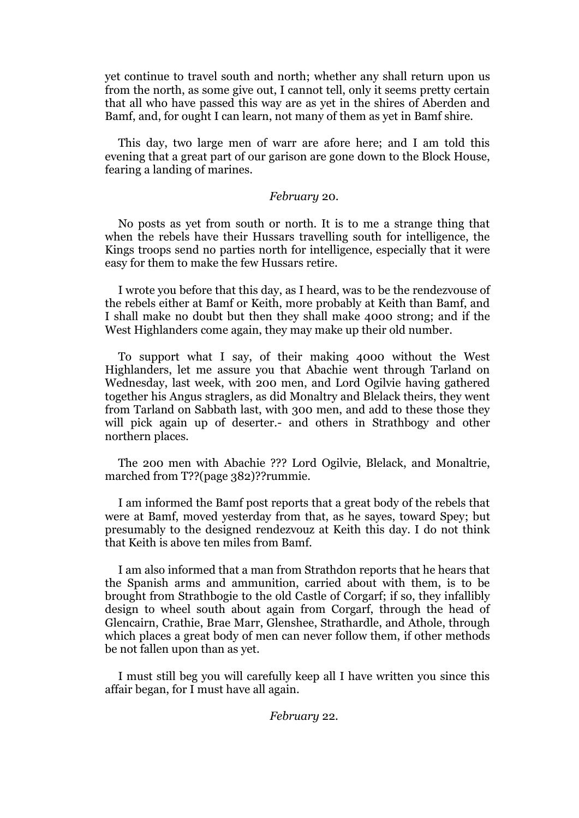yet continue to travel south and north; whether any shall return upon us from the north, as some give out, I cannot tell, only it seems pretty certain that all who have passed this way are as yet in the shires of Aberden and Bamf, and, for ought I can learn, not many of them as yet in Bamf shire.

This day, two large men of warr are afore here; and I am told this evening that a great part of our garison are gone down to the Block House, fearing a landing of marines.

#### *February* 20.

No posts as yet from south or north. It is to me a strange thing that when the rebels have their Hussars travelling south for intelligence, the Kings troops send no parties north for intelligence, especially that it were easy for them to make the few Hussars retire.

I wrote you before that this day, as I heard, was to be the rendezvouse of the rebels either at Bamf or Keith, more probably at Keith than Bamf, and I shall make no doubt but then they shall make 4000 strong; and if the West Highlanders come again, they may make up their old number.

To support what I say, of their making 4000 without the West Highlanders, let me assure you that Abachie went through Tarland on Wednesday, last week, with 200 men, and Lord Ogilvie having gathered together his Angus straglers, as did Monaltry and Blelack theirs, they went from Tarland on Sabbath last, with 300 men, and add to these those they will pick again up of deserter.- and others in Strathbogy and other northern places.

The 200 men with Abachie ??? Lord Ogilvie, Blelack, and Monaltrie, marched from T??(page 382)??rummie.

I am informed the Bamf post reports that a great body of the rebels that were at Bamf, moved yesterday from that, as he sayes, toward Spey; but presumably to the designed rendezvouz at Keith this day. I do not think that Keith is above ten miles from Bamf.

I am also informed that a man from Strathdon reports that he hears that the Spanish arms and ammunition, carried about with them, is to be brought from Strathbogie to the old Castle of Corgarf; if so, they infallibly design to wheel south about again from Corgarf, through the head of Glencairn, Crathie, Brae Marr, Glenshee, Strathardle, and Athole, through which places a great body of men can never follow them, if other methods be not fallen upon than as yet.

I must still beg you will carefully keep all I have written you since this affair began, for I must have all again.

*February* 22.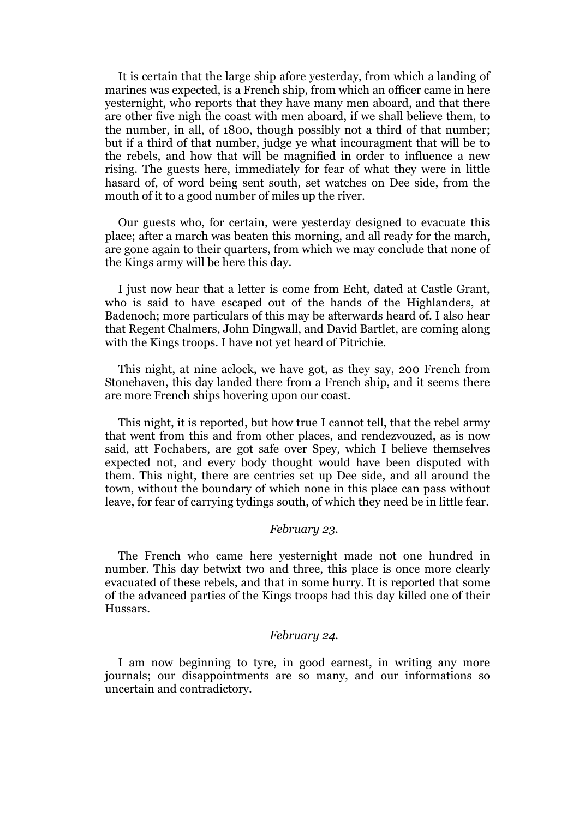It is certain that the large ship afore yesterday, from which a landing of marines was expected, is a French ship, from which an officer came in here yesternight, who reports that they have many men aboard, and that there are other five nigh the coast with men aboard, if we shall believe them, to the number, in all, of 1800, though possibly not a third of that number; but if a third of that number, judge ye what incouragment that will be to the rebels, and how that will be magnified in order to influence a new rising. The guests here, immediately for fear of what they were in little hasard of, of word being sent south, set watches on Dee side, from the mouth of it to a good number of miles up the river.

Our guests who, for certain, were yesterday designed to evacuate this place; after a march was beaten this morning, and all ready for the march, are gone again to their quarters, from which we may conclude that none of the Kings army will be here this day.

I just now hear that a letter is come from Echt, dated at Castle Grant, who is said to have escaped out of the hands of the Highlanders, at Badenoch; more particulars of this may be afterwards heard of. I also hear that Regent Chalmers, John Dingwall, and David Bartlet, are coming along with the Kings troops. I have not yet heard of Pitrichie.

This night, at nine aclock, we have got, as they say, 200 French from Stonehaven, this day landed there from a French ship, and it seems there are more French ships hovering upon our coast.

This night, it is reported, but how true I cannot tell, that the rebel army that went from this and from other places, and rendezvouzed, as is now said, att Fochabers, are got safe over Spey, which I believe themselves expected not, and every body thought would have been disputed with them. This night, there are centries set up Dee side, and all around the town, without the boundary of which none in this place can pass without leave, for fear of carrying tydings south, of which they need be in little fear.

## *February 23.*

The French who came here yesternight made not one hundred in number. This day betwixt two and three, this place is once more clearly evacuated of these rebels, and that in some hurry. It is reported that some of the advanced parties of the Kings troops had this day killed one of their Hussars.

### *February 24.*

I am now beginning to tyre, in good earnest, in writing any more journals; our disappointments are so many, and our informations so uncertain and contradictory.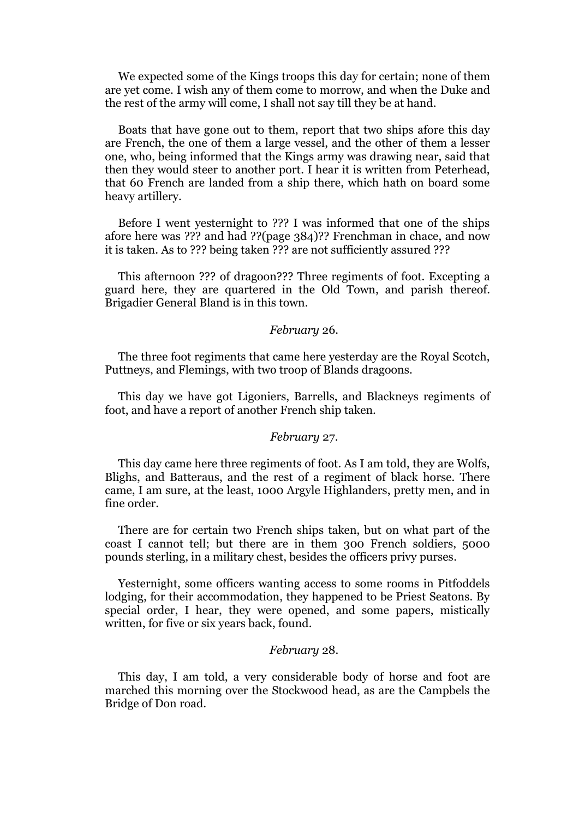We expected some of the Kings troops this day for certain; none of them are yet come. I wish any of them come to morrow, and when the Duke and the rest of the army will come, I shall not say till they be at hand.

Boats that have gone out to them, report that two ships afore this day are French, the one of them a large vessel, and the other of them a lesser one, who, being informed that the Kings army was drawing near, said that then they would steer to another port. I hear it is written from Peterhead, that 60 French are landed from a ship there, which hath on board some heavy artillery.

Before I went yesternight to ??? I was informed that one of the ships afore here was ??? and had ??(page 384)?? Frenchman in chace, and now it is taken. As to ??? being taken ??? are not sufficiently assured ???

This afternoon ??? of dragoon??? Three regiments of foot. Excepting a guard here, they are quartered in the Old Town, and parish thereof. Brigadier General Bland is in this town.

#### *February* 26.

The three foot regiments that came here yesterday are the Royal Scotch, Puttneys, and Flemings, with two troop of Blands dragoons.

This day we have got Ligoniers, Barrells, and Blackneys regiments of foot, and have a report of another French ship taken.

#### *February* 27.

This day came here three regiments of foot. As I am told, they are Wolfs, Blighs, and Batteraus, and the rest of a regiment of black horse. There came, I am sure, at the least, 1000 Argyle Highlanders, pretty men, and in fine order.

There are for certain two French ships taken, but on what part of the coast I cannot tell; but there are in them 300 French soldiers, 5000 pounds sterling, in a military chest, besides the officers privy purses.

Yesternight, some officers wanting access to some rooms in Pitfoddels lodging, for their accommodation, they happened to be Priest Seatons. By special order, I hear, they were opened, and some papers, mistically written, for five or six years back, found.

#### *February* 28.

This day, I am told, a very considerable body of horse and foot are marched this morning over the Stockwood head, as are the Campbels the Bridge of Don road.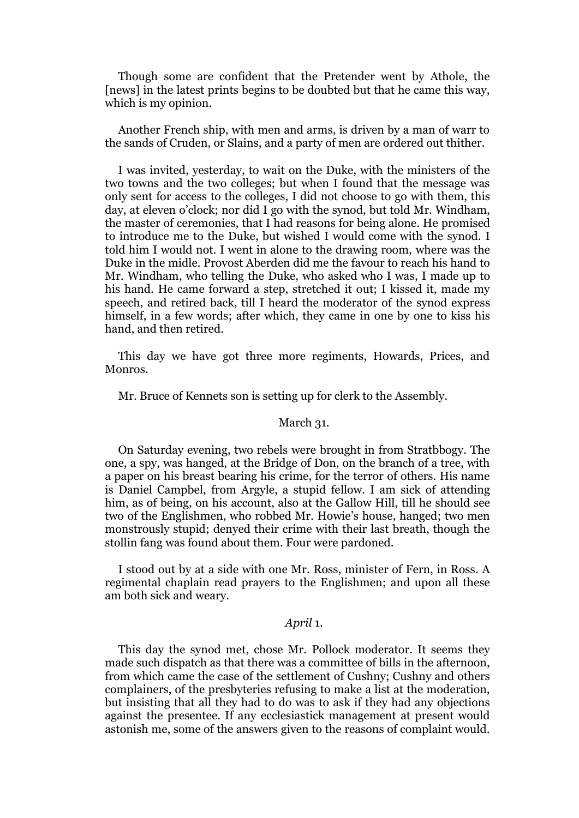Though some are confident that the Pretender went by Athole, the [news] in the latest prints begins to be doubted but that he came this way, which is my opinion.

Another French ship, with men and arms, is driven by a man of warr to the sands of Cruden, or Slains, and a party of men are ordered out thither.

I was invited, yesterday, to wait on the Duke, with the ministers of the two towns and the two colleges; but when I found that the message was only sent for access to the colleges, I did not choose to go with them, this day, at eleven o'clock; nor did I go with the synod, but told Mr. Windham, the master of ceremonies, that I had reasons for being alone. He promised to introduce me to the Duke, but wished I would come with the synod. I told him I would not. I went in alone to the drawing room, where was the Duke in the midle. Provost Aberden did me the favour to reach his hand to Mr. Windham, who telling the Duke, who asked who I was, I made up to his hand. He came forward a step, stretched it out; I kissed it, made my speech, and retired back, till I heard the moderator of the synod express himself, in a few words; after which, they came in one by one to kiss his hand, and then retired.

This day we have got three more regiments, Howards, Prices, and Monros.

Mr. Bruce of Kennets son is setting up for clerk to the Assembly.

#### March 31.

On Saturday evening, two rebels were brought in from Stratbbogy. The one, a spy, was hanged, at the Bridge of Don, on the branch of a tree, with a paper on his breast bearing his crime, for the terror of others. His name is Daniel Campbel, from Argyle, a stupid fellow. I am sick of attending him, as of being, on his account, also at the Gallow Hill, till he should see two of the Englishmen, who robbed Mr. Howie's house, hanged; two men monstrously stupid; denyed their crime with their last breath, though the stollin fang was found about them. Four were pardoned.

I stood out by at a side with one Mr. Ross, minister of Fern, in Ross. A regimental chaplain read prayers to the Englishmen; and upon all these am both sick and weary.

# *April* 1*.*

This day the synod met, chose Mr. Pollock moderator. It seems they made such dispatch as that there was a committee of bills in the afternoon, from which came the case of the settlement of Cushny; Cushny and others complainers, of the presbyteries refusing to make a list at the moderation, but insisting that all they had to do was to ask if they had any objections against the presentee. If any ecclesiastick management at present would astonish me, some of the answers given to the reasons of complaint would.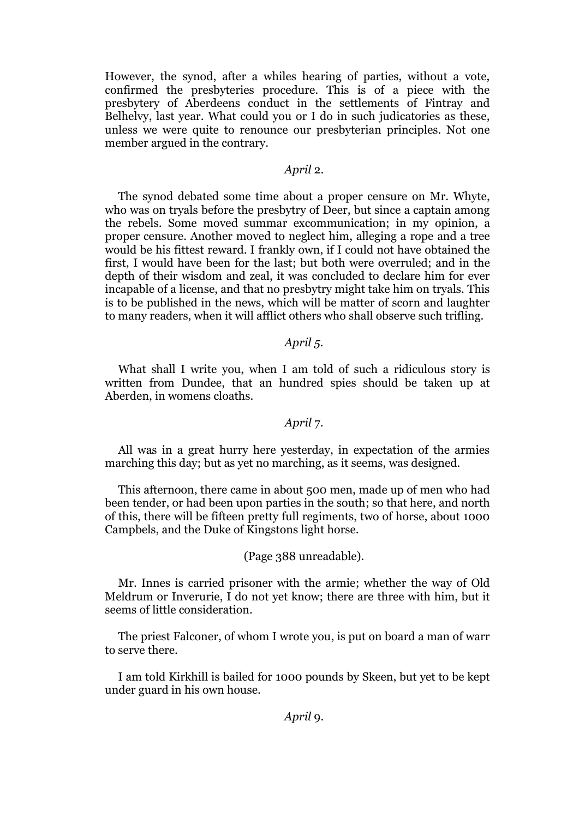However, the synod, after a whiles hearing of parties, without a vote, confirmed the presbyteries procedure. This is of a piece with the presbytery of Aberdeens conduct in the settlements of Fintray and Belhelvy, last year. What could you or I do in such judicatories as these, unless we were quite to renounce our presbyterian principles. Not one member argued in the contrary.

# *April* 2.

The synod debated some time about a proper censure on Mr. Whyte, who was on tryals before the presbytry of Deer, but since a captain among the rebels. Some moved summar excommunication; in my opinion, a proper censure. Another moved to neglect him, alleging a rope and a tree would be his fittest reward. I frankly own, if I could not have obtained the first, I would have been for the last; but both were overruled; and in the depth of their wisdom and zeal, it was concluded to declare him for ever incapable of a license, and that no presbytry might take him on tryals. This is to be published in the news, which will be matter of scorn and laughter to many readers, when it will afflict others who shall observe such trifling.

#### *April 5.*

What shall I write you, when I am told of such a ridiculous story is written from Dundee, that an hundred spies should be taken up at Aberden, in womens cloaths.

# *April* 7.

All was in a great hurry here yesterday, in expectation of the armies marching this day; but as yet no marching, as it seems, was designed.

This afternoon, there came in about 500 men, made up of men who had been tender, or had been upon parties in the south; so that here, and north of this, there will be fifteen pretty full regiments, two of horse, about 1000 Campbels, and the Duke of Kingstons light horse.

(Page 388 unreadable).

Mr. Innes is carried prisoner with the armie; whether the way of Old Meldrum or Inverurie, I do not yet know; there are three with him, but it seems of little consideration.

The priest Falconer, of whom I wrote you, is put on board a man of warr to serve there.

I am told Kirkhill is bailed for 1000 pounds by Skeen, but yet to be kept under guard in his own house.

*April* 9.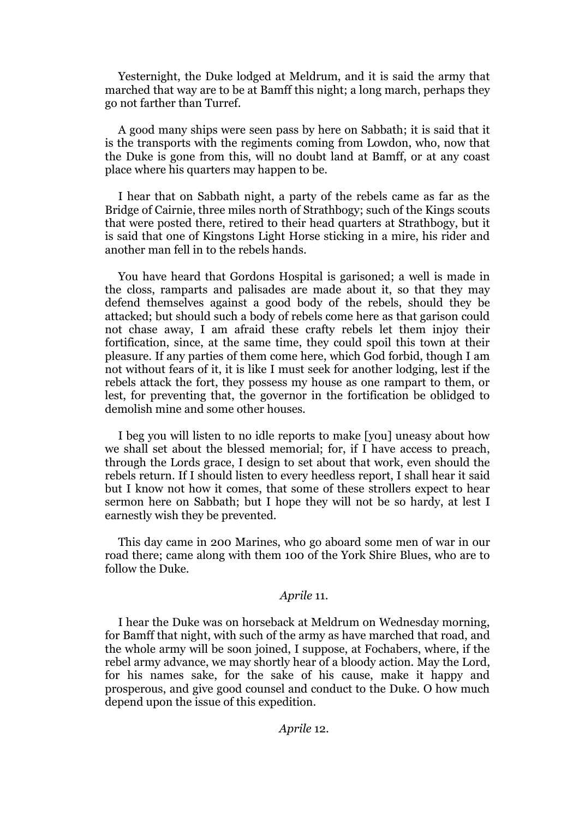Yesternight, the Duke lodged at Meldrum, and it is said the army that marched that way are to be at Bamff this night; a long march, perhaps they go not farther than Turref.

A good many ships were seen pass by here on Sabbath; it is said that it is the transports with the regiments coming from Lowdon, who, now that the Duke is gone from this, will no doubt land at Bamff, or at any coast place where his quarters may happen to be.

I hear that on Sabbath night, a party of the rebels came as far as the Bridge of Cairnie, three miles north of Strathbogy; such of the Kings scouts that were posted there, retired to their head quarters at Strathbogy, but it is said that one of Kingstons Light Horse sticking in a mire, his rider and another man fell in to the rebels hands.

You have heard that Gordons Hospital is garisoned; a well is made in the closs, ramparts and palisades are made about it, so that they may defend themselves against a good body of the rebels, should they be attacked; but should such a body of rebels come here as that garison could not chase away, I am afraid these crafty rebels let them injoy their fortification, since, at the same time, they could spoil this town at their pleasure. If any parties of them come here, which God forbid, though I am not without fears of it, it is like I must seek for another lodging, lest if the rebels attack the fort, they possess my house as one rampart to them, or lest, for preventing that, the governor in the fortification be oblidged to demolish mine and some other houses.

I beg you will listen to no idle reports to make [you] uneasy about how we shall set about the blessed memorial; for, if I have access to preach, through the Lords grace, I design to set about that work, even should the rebels return. If I should listen to every heedless report, I shall hear it said but I know not how it comes, that some of these strollers expect to hear sermon here on Sabbath; but I hope they will not be so hardy, at lest I earnestly wish they be prevented.

This day came in 200 Marines, who go aboard some men of war in our road there; came along with them 100 of the York Shire Blues, who are to follow the Duke.

# *Aprile* 11.

I hear the Duke was on horseback at Meldrum on Wednesday morning, for Bamff that night, with such of the army as have marched that road, and the whole army will be soon joined, I suppose, at Fochabers, where, if the rebel army advance, we may shortly hear of a bloody action. May the Lord, for his names sake, for the sake of his cause, make it happy and prosperous, and give good counsel and conduct to the Duke. O how much depend upon the issue of this expedition.

# *Aprile* 12.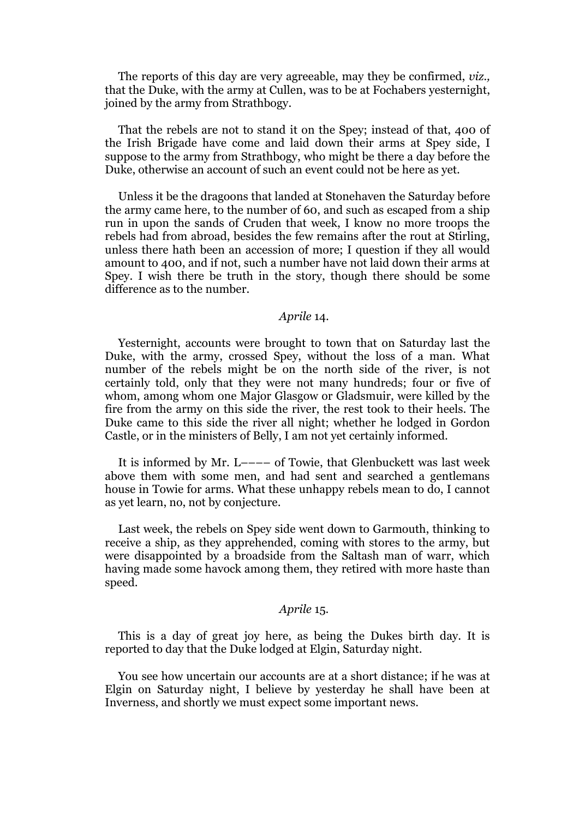The reports of this day are very agreeable, may they be confirmed, *viz.,* that the Duke, with the army at Cullen, was to be at Fochabers yesternight, joined by the army from Strathbogy.

That the rebels are not to stand it on the Spey; instead of that, 400 of the Irish Brigade have come and laid down their arms at Spey side, I suppose to the army from Strathbogy, who might be there a day before the Duke, otherwise an account of such an event could not be here as yet.

Unless it be the dragoons that landed at Stonehaven the Saturday before the army came here, to the number of 60, and such as escaped from a ship run in upon the sands of Cruden that week, I know no more troops the rebels had from abroad, besides the few remains after the rout at Stirling, unless there hath been an accession of more; I question if they all would amount to 400, and if not, such a number have not laid down their arms at Spey. I wish there be truth in the story, though there should be some difference as to the number.

# *Aprile* 14.

Yesternight, accounts were brought to town that on Saturday last the Duke, with the army, crossed Spey, without the loss of a man. What number of the rebels might be on the north side of the river, is not certainly told, only that they were not many hundreds; four or five of whom, among whom one Major Glasgow or Gladsmuir, were killed by the fire from the army on this side the river, the rest took to their heels. The Duke came to this side the river all night; whether he lodged in Gordon Castle, or in the ministers of Belly, I am not yet certainly informed.

It is informed by Mr. L–––– of Towie, that Glenbuckett was last week above them with some men, and had sent and searched a gentlemans house in Towie for arms. What these unhappy rebels mean to do, I cannot as yet learn, no, not by conjecture.

Last week, the rebels on Spey side went down to Garmouth, thinking to receive a ship, as they apprehended, coming with stores to the army, but were disappointed by a broadside from the Saltash man of warr, which having made some havock among them, they retired with more haste than speed.

#### *Aprile* 15.

This is a day of great joy here, as being the Dukes birth day. It is reported to day that the Duke lodged at Elgin, Saturday night.

You see how uncertain our accounts are at a short distance; if he was at Elgin on Saturday night, I believe by yesterday he shall have been at Inverness, and shortly we must expect some important news.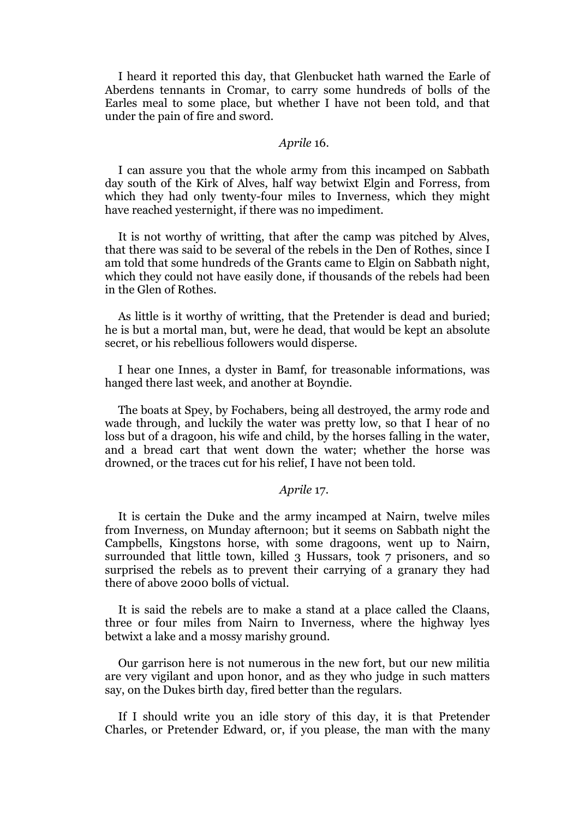I heard it reported this day, that Glenbucket hath warned the Earle of Aberdens tennants in Cromar, to carry some hundreds of bolls of the Earles meal to some place, but whether I have not been told, and that under the pain of fire and sword.

# *Aprile* 16.

I can assure you that the whole army from this incamped on Sabbath day south of the Kirk of Alves, half way betwixt Elgin and Forress, from which they had only twenty-four miles to Inverness, which they might have reached yesternight, if there was no impediment.

It is not worthy of writting, that after the camp was pitched by Alves, that there was said to be several of the rebels in the Den of Rothes, since I am told that some hundreds of the Grants came to Elgin on Sabbath night, which they could not have easily done, if thousands of the rebels had been in the Glen of Rothes.

As little is it worthy of writting, that the Pretender is dead and buried; he is but a mortal man, but, were he dead, that would be kept an absolute secret, or his rebellious followers would disperse.

I hear one Innes, a dyster in Bamf, for treasonable informations, was hanged there last week, and another at Boyndie.

The boats at Spey, by Fochabers, being all destroyed, the army rode and wade through, and luckily the water was pretty low, so that I hear of no loss but of a dragoon, his wife and child, by the horses falling in the water, and a bread cart that went down the water; whether the horse was drowned, or the traces cut for his relief, I have not been told.

# *Aprile* 17.

It is certain the Duke and the army incamped at Nairn, twelve miles from Inverness, on Munday afternoon; but it seems on Sabbath night the Campbells, Kingstons horse, with some dragoons, went up to Nairn, surrounded that little town, killed 3 Hussars, took 7 prisoners, and so surprised the rebels as to prevent their carrying of a granary they had there of above 2000 bolls of victual.

It is said the rebels are to make a stand at a place called the Claans, three or four miles from Nairn to Inverness, where the highway lyes betwixt a lake and a mossy marishy ground.

Our garrison here is not numerous in the new fort, but our new militia are very vigilant and upon honor, and as they who judge in such matters say, on the Dukes birth day, fired better than the regulars.

If I should write you an idle story of this day, it is that Pretender Charles, or Pretender Edward, or, if you please, the man with the many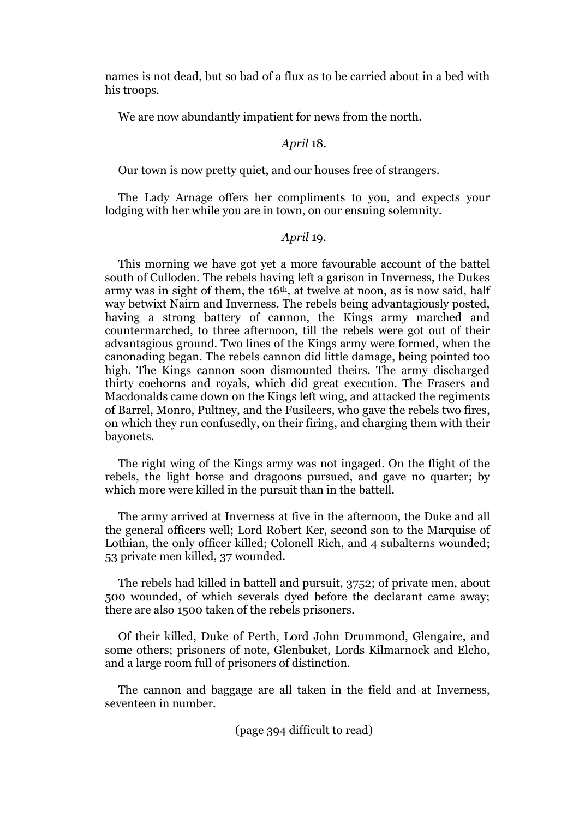names is not dead, but so bad of a flux as to be carried about in a bed with his troops.

We are now abundantly impatient for news from the north.

# *April* 18.

Our town is now pretty quiet, and our houses free of strangers.

The Lady Arnage offers her compliments to you, and expects your lodging with her while you are in town, on our ensuing solemnity.

# *April* 19.

This morning we have got yet a more favourable account of the battel south of Culloden. The rebels having left a garison in Inverness, the Dukes army was in sight of them, the 16th, at twelve at noon, as is now said, half way betwixt Nairn and Inverness. The rebels being advantagiously posted, having a strong battery of cannon, the Kings army marched and countermarched, to three afternoon, till the rebels were got out of their advantagious ground. Two lines of the Kings army were formed, when the canonading began. The rebels cannon did little damage, being pointed too high. The Kings cannon soon dismounted theirs. The army discharged thirty coehorns and royals, which did great execution. The Frasers and Macdonalds came down on the Kings left wing, and attacked the regiments of Barrel, Monro, Pultney, and the Fusileers, who gave the rebels two fires, on which they run confusedly, on their firing, and charging them with their bayonets.

The right wing of the Kings army was not ingaged. On the flight of the rebels, the light horse and dragoons pursued, and gave no quarter; by which more were killed in the pursuit than in the battell.

The army arrived at Inverness at five in the afternoon, the Duke and all the general officers well; Lord Robert Ker, second son to the Marquise of Lothian, the only officer killed; Colonell Rich, and 4 subalterns wounded; 53 private men killed, 37 wounded.

The rebels had killed in battell and pursuit, 3752; of private men, about 500 wounded, of which severals dyed before the declarant came away; there are also 1500 taken of the rebels prisoners.

Of their killed, Duke of Perth, Lord John Drummond, Glengaire, and some others; prisoners of note, Glenbuket, Lords Kilmarnock and Elcho, and a large room full of prisoners of distinction.

The cannon and baggage are all taken in the field and at Inverness, seventeen in number.

(page 394 difficult to read)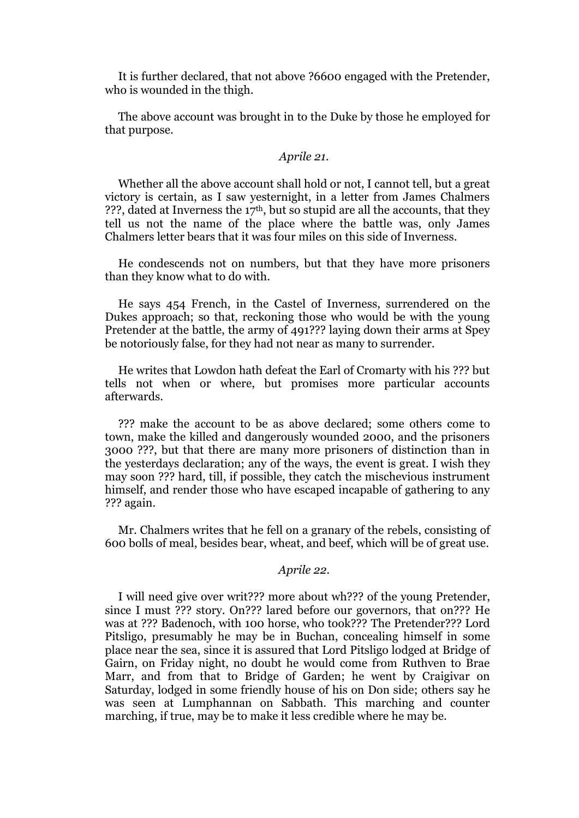It is further declared, that not above ?6600 engaged with the Pretender, who is wounded in the thigh.

The above account was brought in to the Duke by those he employed for that purpose.

# *Aprile 21.*

Whether all the above account shall hold or not, I cannot tell, but a great victory is certain, as I saw yesternight, in a letter from James Chalmers ???, dated at Inverness the  $17<sup>th</sup>$ , but so stupid are all the accounts, that they tell us not the name of the place where the battle was, only James Chalmers letter bears that it was four miles on this side of Inverness.

He condescends not on numbers, but that they have more prisoners than they know what to do with.

He says 454 French, in the Castel of Inverness, surrendered on the Dukes approach; so that, reckoning those who would be with the young Pretender at the battle, the army of 491??? laying down their arms at Spey be notoriously false, for they had not near as many to surrender.

He writes that Lowdon hath defeat the Earl of Cromarty with his ??? but tells not when or where, but promises more particular accounts afterwards.

??? make the account to be as above declared; some others come to town, make the killed and dangerously wounded 2000, and the prisoners 3000 ???, but that there are many more prisoners of distinction than in the yesterdays declaration; any of the ways, the event is great. I wish they may soon ??? hard, till, if possible, they catch the mischevious instrument himself, and render those who have escaped incapable of gathering to any ??? again.

Mr. Chalmers writes that he fell on a granary of the rebels, consisting of 600 bolls of meal, besides bear, wheat, and beef, which will be of great use.

# *Aprile 22.*

I will need give over writ??? more about wh??? of the young Pretender, since I must ??? story. On??? lared before our governors, that on??? He was at ??? Badenoch, with 100 horse, who took??? The Pretender??? Lord Pitsligo, presumably he may be in Buchan, concealing himself in some place near the sea, since it is assured that Lord Pitsligo lodged at Bridge of Gairn, on Friday night, no doubt he would come from Ruthven to Brae Marr, and from that to Bridge of Garden; he went by Craigivar on Saturday, lodged in some friendly house of his on Don side; others say he was seen at Lumphannan on Sabbath. This marching and counter marching, if true, may be to make it less credible where he may be.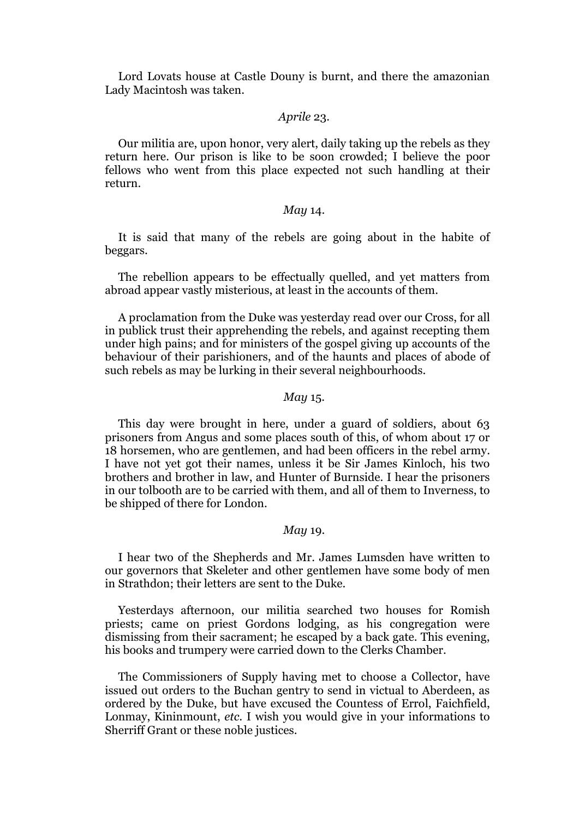Lord Lovats house at Castle Douny is burnt, and there the amazonian Lady Macintosh was taken.

# *Aprile* 23.

Our militia are, upon honor, very alert, daily taking up the rebels as they return here. Our prison is like to be soon crowded; I believe the poor fellows who went from this place expected not such handling at their return.

# *May* 14.

It is said that many of the rebels are going about in the habite of beggars.

The rebellion appears to be effectually quelled, and yet matters from abroad appear vastly misterious, at least in the accounts of them.

A proclamation from the Duke was yesterday read over our Cross, for all in publick trust their apprehending the rebels, and against recepting them under high pains; and for ministers of the gospel giving up accounts of the behaviour of their parishioners, and of the haunts and places of abode of such rebels as may be lurking in their several neighbourhoods.

#### *May* 15.

This day were brought in here, under a guard of soldiers, about 63 prisoners from Angus and some places south of this, of whom about 17 or 18 horsemen, who are gentlemen, and had been officers in the rebel army. I have not yet got their names, unless it be Sir James Kinloch, his two brothers and brother in law, and Hunter of Burnside. I hear the prisoners in our tolbooth are to be carried with them, and all of them to Inverness, to be shipped of there for London.

# *May* 19.

I hear two of the Shepherds and Mr. James Lumsden have written to our governors that Skeleter and other gentlemen have some body of men in Strathdon; their letters are sent to the Duke.

Yesterdays afternoon, our militia searched two houses for Romish priests; came on priest Gordons lodging, as his congregation were dismissing from their sacrament; he escaped by a back gate. This evening, his books and trumpery were carried down to the Clerks Chamber.

The Commissioners of Supply having met to choose a Collector, have issued out orders to the Buchan gentry to send in victual to Aberdeen, as ordered by the Duke, but have excused the Countess of Errol, Faichfield, Lonmay, Kininmount, *etc.* I wish you would give in your informations to Sherriff Grant or these noble justices.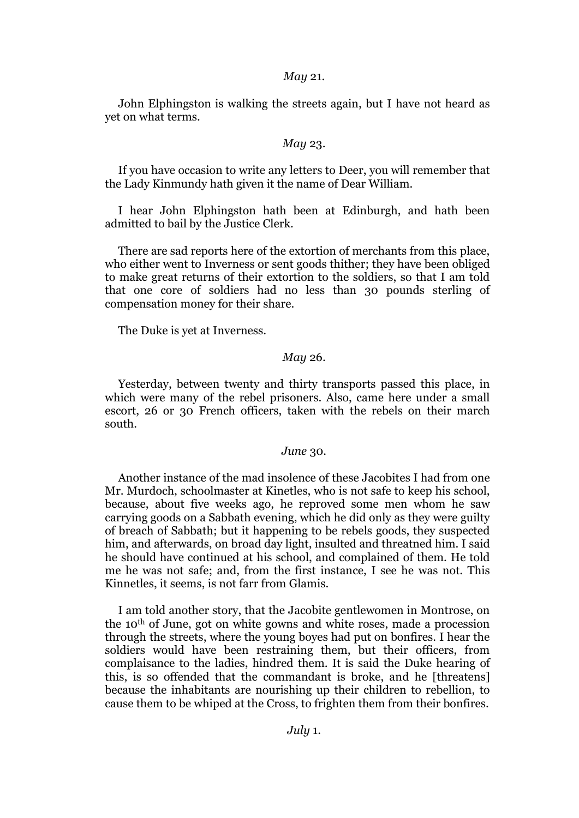#### *May* 21.

John Elphingston is walking the streets again, but I have not heard as yet on what terms.

# *May* 23.

If you have occasion to write any letters to Deer, you will remember that the Lady Kinmundy hath given it the name of Dear William.

I hear John Elphingston hath been at Edinburgh, and hath been admitted to bail by the Justice Clerk.

There are sad reports here of the extortion of merchants from this place, who either went to Inverness or sent goods thither; they have been obliged to make great returns of their extortion to the soldiers, so that I am told that one core of soldiers had no less than 30 pounds sterling of compensation money for their share.

The Duke is yet at Inverness.

# *May* 26.

Yesterday, between twenty and thirty transports passed this place, in which were many of the rebel prisoners. Also, came here under a small escort, 26 or 30 French officers, taken with the rebels on their march south.

# *June* 30.

Another instance of the mad insolence of these Jacobites I had from one Mr. Murdoch, schoolmaster at Kinetles, who is not safe to keep his school, because, about five weeks ago, he reproved some men whom he saw carrying goods on a Sabbath evening, which he did only as they were guilty of breach of Sabbath; but it happening to be rebels goods, they suspected him, and afterwards, on broad day light, insulted and threatned him. I said he should have continued at his school, and complained of them. He told me he was not safe; and, from the first instance, I see he was not. This Kinnetles, it seems, is not farr from Glamis.

I am told another story, that the Jacobite gentlewomen in Montrose, on the 10th of June, got on white gowns and white roses, made a procession through the streets, where the young boyes had put on bonfires. I hear the soldiers would have been restraining them, but their officers, from complaisance to the ladies, hindred them. It is said the Duke hearing of this, is so offended that the commandant is broke, and he [threatens] because the inhabitants are nourishing up their children to rebellion, to cause them to be whiped at the Cross, to frighten them from their bonfires.